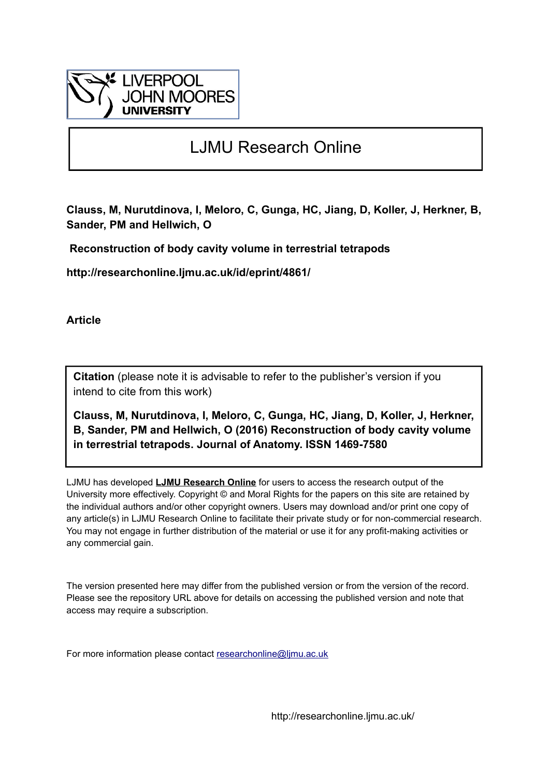

# LJMU Research Online

**Clauss, M, Nurutdinova, I, Meloro, C, Gunga, HC, Jiang, D, Koller, J, Herkner, B, Sander, PM and Hellwich, O**

 **Reconstruction of body cavity volume in terrestrial tetrapods**

**http://researchonline.ljmu.ac.uk/id/eprint/4861/**

**Article**

**Citation** (please note it is advisable to refer to the publisher's version if you intend to cite from this work)

**Clauss, M, Nurutdinova, I, Meloro, C, Gunga, HC, Jiang, D, Koller, J, Herkner, B, Sander, PM and Hellwich, O (2016) Reconstruction of body cavity volume in terrestrial tetrapods. Journal of Anatomy. ISSN 1469-7580** 

LJMU has developed **[LJMU Research Online](http://researchonline.ljmu.ac.uk/)** for users to access the research output of the University more effectively. Copyright © and Moral Rights for the papers on this site are retained by the individual authors and/or other copyright owners. Users may download and/or print one copy of any article(s) in LJMU Research Online to facilitate their private study or for non-commercial research. You may not engage in further distribution of the material or use it for any profit-making activities or any commercial gain.

The version presented here may differ from the published version or from the version of the record. Please see the repository URL above for details on accessing the published version and note that access may require a subscription.

For more information please contact [researchonline@ljmu.ac.uk](mailto:researchonline@ljmu.ac.uk)

http://researchonline.ljmu.ac.uk/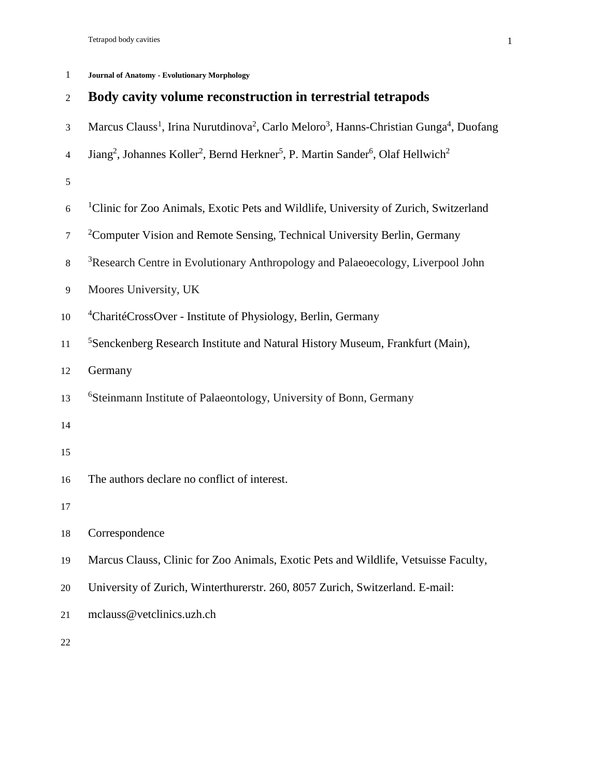### 1 **Journal of Anatomy - Evolutionary Morphology**

| 2  | Body cavity volume reconstruction in terrestrial tetrapods                                                                                  |
|----|---------------------------------------------------------------------------------------------------------------------------------------------|
| 3  | Marcus Clauss <sup>1</sup> , Irina Nurutdinova <sup>2</sup> , Carlo Meloro <sup>3</sup> , Hanns-Christian Gunga <sup>4</sup> , Duofang      |
| 4  | Jiang <sup>2</sup> , Johannes Koller <sup>2</sup> , Bernd Herkner <sup>5</sup> , P. Martin Sander <sup>6</sup> , Olaf Hellwich <sup>2</sup> |
| 5  |                                                                                                                                             |
| 6  | <sup>1</sup> Clinic for Zoo Animals, Exotic Pets and Wildlife, University of Zurich, Switzerland                                            |
| 7  | <sup>2</sup> Computer Vision and Remote Sensing, Technical University Berlin, Germany                                                       |
| 8  | <sup>3</sup> Research Centre in Evolutionary Anthropology and Palaeoecology, Liverpool John                                                 |
| 9  | Moores University, UK                                                                                                                       |
| 10 | <sup>4</sup> CharitéCrossOver - Institute of Physiology, Berlin, Germany                                                                    |
| 11 | <sup>5</sup> Senckenberg Research Institute and Natural History Museum, Frankfurt (Main),                                                   |
| 12 | Germany                                                                                                                                     |
| 13 | <sup>6</sup> Steinmann Institute of Palaeontology, University of Bonn, Germany                                                              |
| 14 |                                                                                                                                             |
| 15 |                                                                                                                                             |
| 16 | The authors declare no conflict of interest.                                                                                                |
| 17 |                                                                                                                                             |
| 18 | Correspondence                                                                                                                              |
| 19 | Marcus Clauss, Clinic for Zoo Animals, Exotic Pets and Wildlife, Vetsuisse Faculty,                                                         |
| 20 | University of Zurich, Winterthurerstr. 260, 8057 Zurich, Switzerland. E-mail:                                                               |
| 21 | mclauss@vetclinics.uzh.ch                                                                                                                   |
|    |                                                                                                                                             |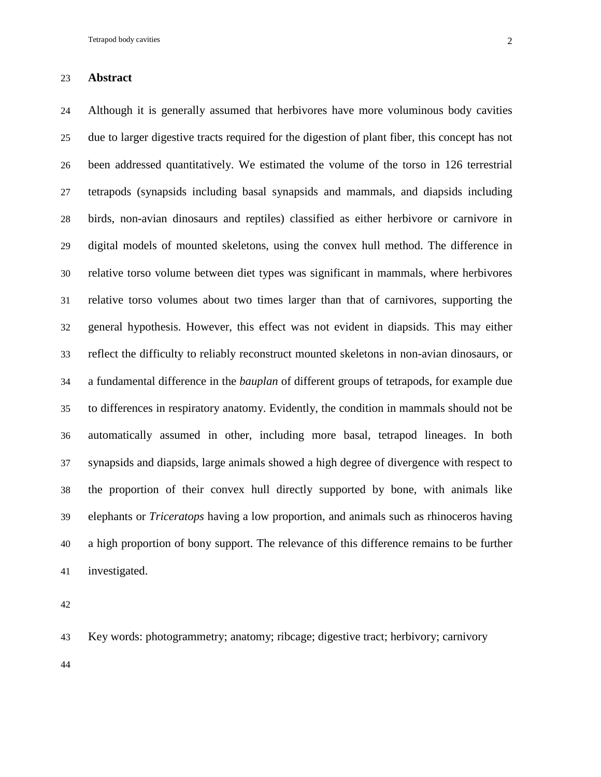#### **Abstract**

 Although it is generally assumed that herbivores have more voluminous body cavities due to larger digestive tracts required for the digestion of plant fiber, this concept has not been addressed quantitatively. We estimated the volume of the torso in 126 terrestrial tetrapods (synapsids including basal synapsids and mammals, and diapsids including birds, non-avian dinosaurs and reptiles) classified as either herbivore or carnivore in digital models of mounted skeletons, using the convex hull method. The difference in relative torso volume between diet types was significant in mammals, where herbivores relative torso volumes about two times larger than that of carnivores, supporting the general hypothesis. However, this effect was not evident in diapsids. This may either reflect the difficulty to reliably reconstruct mounted skeletons in non-avian dinosaurs, or a fundamental difference in the *bauplan* of different groups of tetrapods, for example due to differences in respiratory anatomy. Evidently, the condition in mammals should not be automatically assumed in other, including more basal, tetrapod lineages. In both synapsids and diapsids, large animals showed a high degree of divergence with respect to the proportion of their convex hull directly supported by bone, with animals like elephants or *Triceratops* having a low proportion, and animals such as rhinoceros having a high proportion of bony support. The relevance of this difference remains to be further investigated.

Key words: photogrammetry; anatomy; ribcage; digestive tract; herbivory; carnivory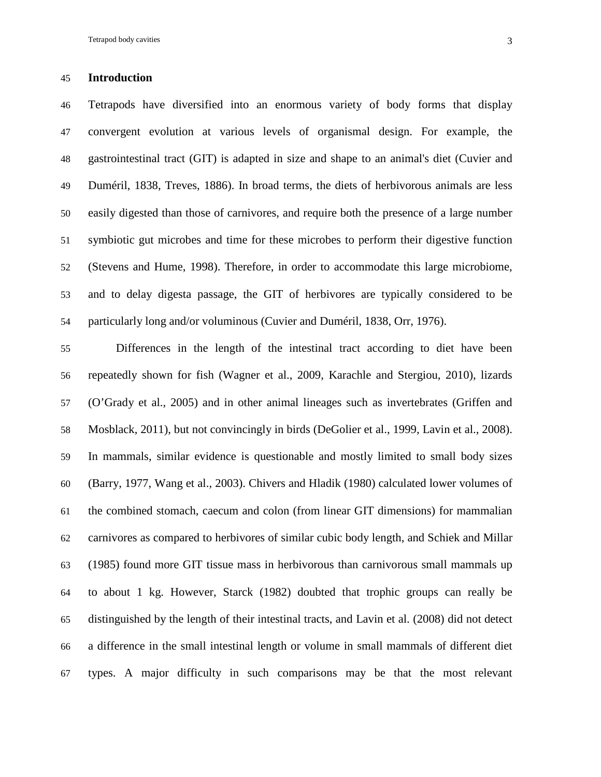#### **Introduction**

 Tetrapods have diversified into an enormous variety of body forms that display convergent evolution at various levels of organismal design. For example, the gastrointestinal tract (GIT) is adapted in size and shape to an animal's diet (Cuvier and Duméril, 1838, Treves, 1886). In broad terms, the diets of herbivorous animals are less easily digested than those of carnivores, and require both the presence of a large number symbiotic gut microbes and time for these microbes to perform their digestive function (Stevens and Hume, 1998). Therefore, in order to accommodate this large microbiome, and to delay digesta passage, the GIT of herbivores are typically considered to be particularly long and/or voluminous (Cuvier and Duméril, 1838, Orr, 1976).

 Differences in the length of the intestinal tract according to diet have been repeatedly shown for fish (Wagner et al., 2009, Karachle and Stergiou, 2010), lizards (O'Grady et al., 2005) and in other animal lineages such as invertebrates (Griffen and Mosblack, 2011), but not convincingly in birds (DeGolier et al., 1999, Lavin et al., 2008). In mammals, similar evidence is questionable and mostly limited to small body sizes (Barry, 1977, Wang et al., 2003). Chivers and Hladik (1980) calculated lower volumes of the combined stomach, caecum and colon (from linear GIT dimensions) for mammalian carnivores as compared to herbivores of similar cubic body length, and Schiek and Millar (1985) found more GIT tissue mass in herbivorous than carnivorous small mammals up to about 1 kg. However, Starck (1982) doubted that trophic groups can really be distinguished by the length of their intestinal tracts, and Lavin et al. (2008) did not detect a difference in the small intestinal length or volume in small mammals of different diet types. A major difficulty in such comparisons may be that the most relevant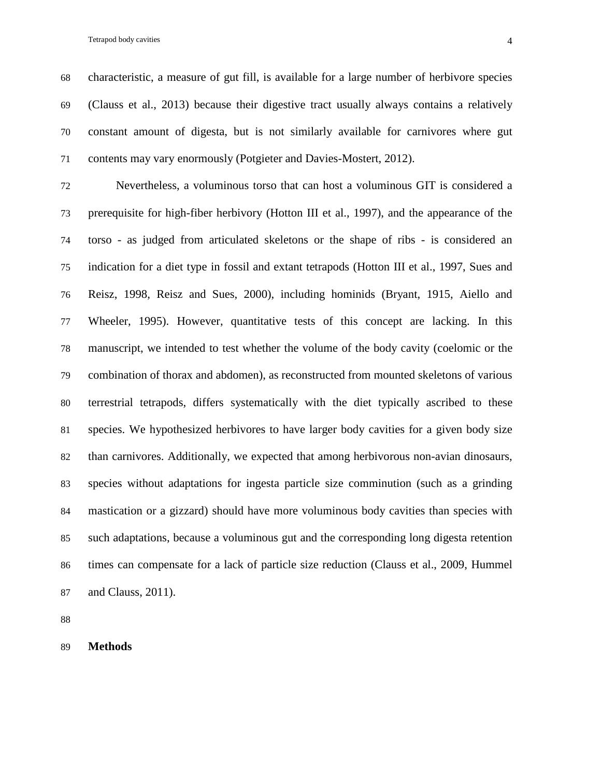characteristic, a measure of gut fill, is available for a large number of herbivore species (Clauss et al., 2013) because their digestive tract usually always contains a relatively constant amount of digesta, but is not similarly available for carnivores where gut contents may vary enormously (Potgieter and Davies-Mostert, 2012).

 Nevertheless, a voluminous torso that can host a voluminous GIT is considered a prerequisite for high-fiber herbivory (Hotton III et al., 1997), and the appearance of the torso - as judged from articulated skeletons or the shape of ribs - is considered an indication for a diet type in fossil and extant tetrapods (Hotton III et al., 1997, Sues and Reisz, 1998, Reisz and Sues, 2000), including hominids (Bryant, 1915, Aiello and Wheeler, 1995). However, quantitative tests of this concept are lacking. In this manuscript, we intended to test whether the volume of the body cavity (coelomic or the combination of thorax and abdomen), as reconstructed from mounted skeletons of various terrestrial tetrapods, differs systematically with the diet typically ascribed to these species. We hypothesized herbivores to have larger body cavities for a given body size than carnivores. Additionally, we expected that among herbivorous non-avian dinosaurs, species without adaptations for ingesta particle size comminution (such as a grinding mastication or a gizzard) should have more voluminous body cavities than species with such adaptations, because a voluminous gut and the corresponding long digesta retention times can compensate for a lack of particle size reduction (Clauss et al., 2009, Hummel and Clauss, 2011).

**Methods**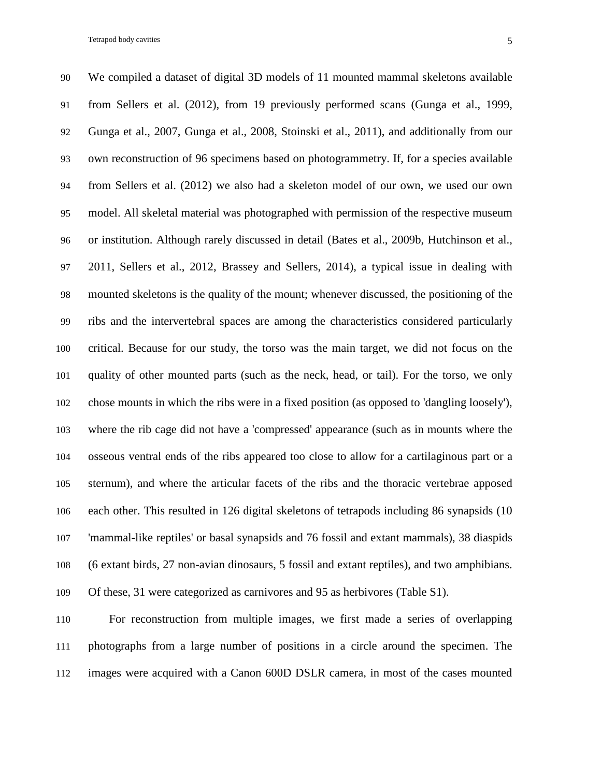We compiled a dataset of digital 3D models of 11 mounted mammal skeletons available from Sellers et al. (2012), from 19 previously performed scans (Gunga et al., 1999, Gunga et al., 2007, Gunga et al., 2008, Stoinski et al., 2011), and additionally from our own reconstruction of 96 specimens based on photogrammetry. If, for a species available from Sellers et al. (2012) we also had a skeleton model of our own, we used our own model. All skeletal material was photographed with permission of the respective museum or institution. Although rarely discussed in detail (Bates et al., 2009b, Hutchinson et al., 2011, Sellers et al., 2012, Brassey and Sellers, 2014), a typical issue in dealing with mounted skeletons is the quality of the mount; whenever discussed, the positioning of the ribs and the intervertebral spaces are among the characteristics considered particularly critical. Because for our study, the torso was the main target, we did not focus on the quality of other mounted parts (such as the neck, head, or tail). For the torso, we only chose mounts in which the ribs were in a fixed position (as opposed to 'dangling loosely'), where the rib cage did not have a 'compressed' appearance (such as in mounts where the osseous ventral ends of the ribs appeared too close to allow for a cartilaginous part or a sternum), and where the articular facets of the ribs and the thoracic vertebrae apposed each other. This resulted in 126 digital skeletons of tetrapods including 86 synapsids (10 'mammal-like reptiles' or basal synapsids and 76 fossil and extant mammals), 38 diaspids (6 extant birds, 27 non-avian dinosaurs, 5 fossil and extant reptiles), and two amphibians. Of these, 31 were categorized as carnivores and 95 as herbivores (Table S1).

 For reconstruction from multiple images, we first made a series of overlapping photographs from a large number of positions in a circle around the specimen. The images were acquired with a Canon 600D DSLR camera, in most of the cases mounted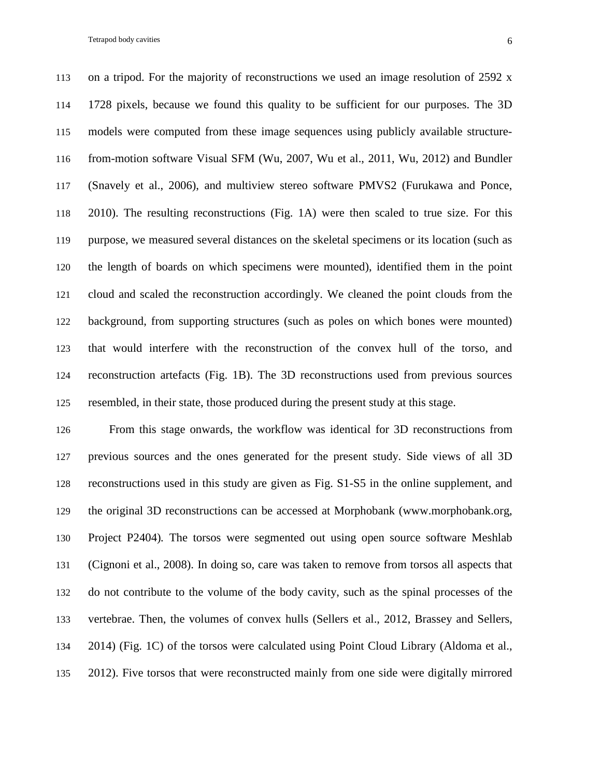on a tripod. For the majority of reconstructions we used an image resolution of 2592 x 1728 pixels, because we found this quality to be sufficient for our purposes. The 3D models were computed from these image sequences using publicly available structure- from-motion software Visual SFM (Wu, 2007, Wu et al., 2011, Wu, 2012) and Bundler (Snavely et al., 2006), and multiview stereo software PMVS2 (Furukawa and Ponce, 2010). The resulting reconstructions (Fig. 1A) were then scaled to true size. For this purpose, we measured several distances on the skeletal specimens or its location (such as the length of boards on which specimens were mounted), identified them in the point cloud and scaled the reconstruction accordingly. We cleaned the point clouds from the background, from supporting structures (such as poles on which bones were mounted) that would interfere with the reconstruction of the convex hull of the torso, and reconstruction artefacts (Fig. 1B). The 3D reconstructions used from previous sources resembled, in their state, those produced during the present study at this stage.

 From this stage onwards, the workflow was identical for 3D reconstructions from previous sources and the ones generated for the present study. Side views of all 3D reconstructions used in this study are given as Fig. S1-S5 in the online supplement, and the original 3D reconstructions can be accessed at Morphobank (www.morphobank.org, Project P2404)*.* The torsos were segmented out using open source software Meshlab (Cignoni et al., 2008). In doing so, care was taken to remove from torsos all aspects that do not contribute to the volume of the body cavity, such as the spinal processes of the vertebrae. Then, the volumes of convex hulls (Sellers et al., 2012, Brassey and Sellers, 2014) (Fig. 1C) of the torsos were calculated using Point Cloud Library (Aldoma et al., 2012). Five torsos that were reconstructed mainly from one side were digitally mirrored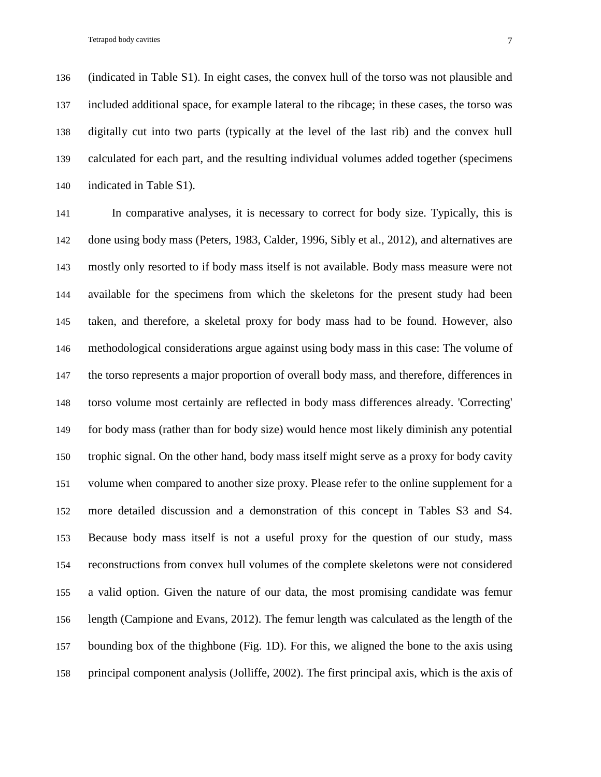(indicated in Table S1). In eight cases, the convex hull of the torso was not plausible and included additional space, for example lateral to the ribcage; in these cases, the torso was digitally cut into two parts (typically at the level of the last rib) and the convex hull calculated for each part, and the resulting individual volumes added together (specimens indicated in Table S1).

 In comparative analyses, it is necessary to correct for body size. Typically, this is done using body mass (Peters, 1983, Calder, 1996, Sibly et al., 2012), and alternatives are mostly only resorted to if body mass itself is not available. Body mass measure were not available for the specimens from which the skeletons for the present study had been taken, and therefore, a skeletal proxy for body mass had to be found. However, also methodological considerations argue against using body mass in this case: The volume of the torso represents a major proportion of overall body mass, and therefore, differences in torso volume most certainly are reflected in body mass differences already. 'Correcting' for body mass (rather than for body size) would hence most likely diminish any potential trophic signal. On the other hand, body mass itself might serve as a proxy for body cavity volume when compared to another size proxy. Please refer to the online supplement for a more detailed discussion and a demonstration of this concept in Tables S3 and S4. Because body mass itself is not a useful proxy for the question of our study, mass reconstructions from convex hull volumes of the complete skeletons were not considered a valid option. Given the nature of our data, the most promising candidate was femur length (Campione and Evans, 2012). The femur length was calculated as the length of the bounding box of the thighbone (Fig. 1D). For this, we aligned the bone to the axis using principal component analysis (Jolliffe, 2002). The first principal axis, which is the axis of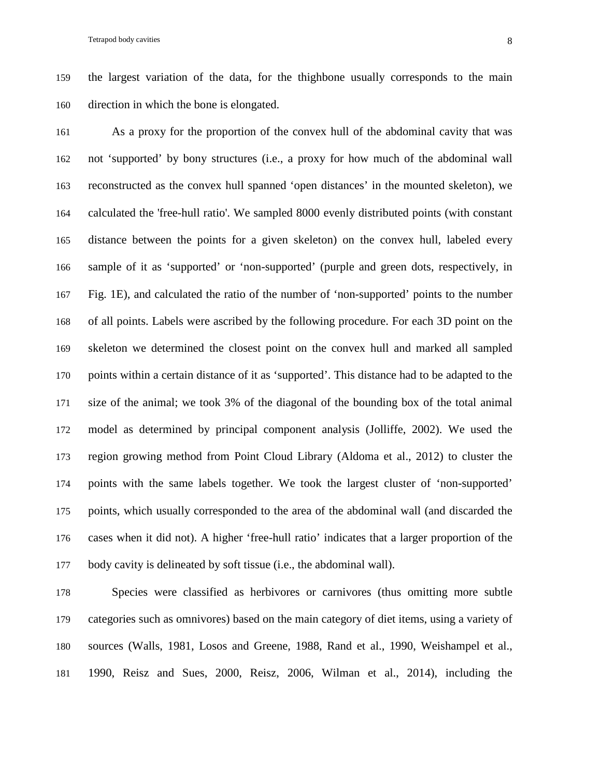the largest variation of the data, for the thighbone usually corresponds to the main direction in which the bone is elongated.

 As a proxy for the proportion of the convex hull of the abdominal cavity that was not 'supported' by bony structures (i.e., a proxy for how much of the abdominal wall reconstructed as the convex hull spanned 'open distances' in the mounted skeleton), we calculated the 'free-hull ratio'. We sampled 8000 evenly distributed points (with constant distance between the points for a given skeleton) on the convex hull, labeled every sample of it as 'supported' or 'non-supported' (purple and green dots, respectively, in Fig. 1E), and calculated the ratio of the number of 'non-supported' points to the number of all points. Labels were ascribed by the following procedure. For each 3D point on the skeleton we determined the closest point on the convex hull and marked all sampled points within a certain distance of it as 'supported'. This distance had to be adapted to the size of the animal; we took 3% of the diagonal of the bounding box of the total animal model as determined by principal component analysis (Jolliffe, 2002). We used the region growing method from Point Cloud Library (Aldoma et al., 2012) to cluster the points with the same labels together. We took the largest cluster of 'non-supported' points, which usually corresponded to the area of the abdominal wall (and discarded the cases when it did not). A higher 'free-hull ratio' indicates that a larger proportion of the body cavity is delineated by soft tissue (i.e., the abdominal wall).

 Species were classified as herbivores or carnivores (thus omitting more subtle categories such as omnivores) based on the main category of diet items, using a variety of sources (Walls, 1981, Losos and Greene, 1988, Rand et al., 1990, Weishampel et al., 1990, Reisz and Sues, 2000, Reisz, 2006, Wilman et al., 2014), including the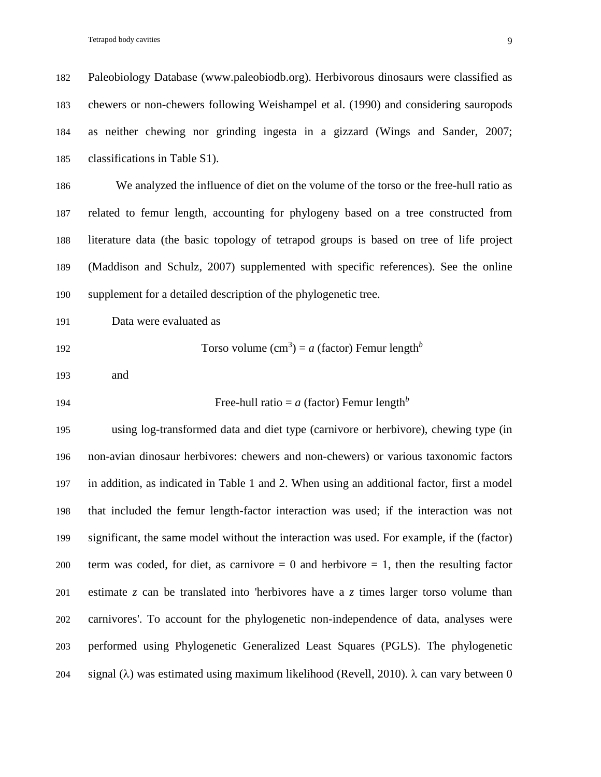Paleobiology Database (www.paleobiodb.org). Herbivorous dinosaurs were classified as chewers or non-chewers following Weishampel et al. (1990) and considering sauropods as neither chewing nor grinding ingesta in a gizzard (Wings and Sander, 2007; classifications in Table S1).

 We analyzed the influence of diet on the volume of the torso or the free-hull ratio as related to femur length, accounting for phylogeny based on a tree constructed from literature data (the basic topology of tetrapod groups is based on tree of life project (Maddison and Schulz, 2007) supplemented with specific references). See the online supplement for a detailed description of the phylogenetic tree.

Data were evaluated as

$$
192
$$

192 Torso volume  $(cm<sup>3</sup>) = a$  (factor) Femur length<sup>b</sup>

and

#### 194 Free-hull ratio  $= a$  (factor) Femur length<sup>b</sup>

 using log-transformed data and diet type (carnivore or herbivore), chewing type (in non-avian dinosaur herbivores: chewers and non-chewers) or various taxonomic factors in addition, as indicated in Table 1 and 2. When using an additional factor, first a model that included the femur length-factor interaction was used; if the interaction was not significant, the same model without the interaction was used. For example, if the (factor) 200 term was coded, for diet, as carnivore  $= 0$  and herbivore  $= 1$ , then the resulting factor estimate *z* can be translated into 'herbivores have a *z* times larger torso volume than carnivores'. To account for the phylogenetic non-independence of data, analyses were performed using Phylogenetic Generalized Least Squares (PGLS). The phylogenetic 204 signal ( $\lambda$ ) was estimated using maximum likelihood (Revell, 2010).  $\lambda$  can vary between 0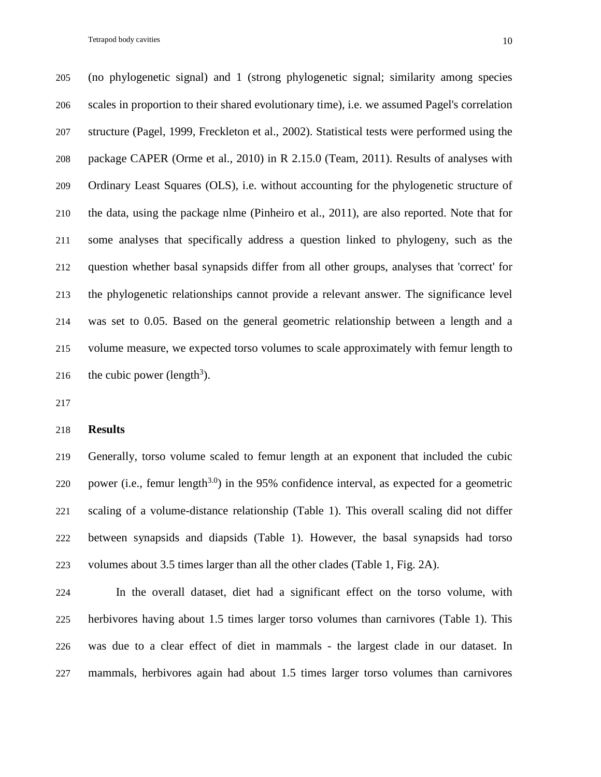Tetrapod body cavities and the state of the state of the state of the state of the state of the state of the state of the state of the state of the state of the state of the state of the state of the state of the state of

 (no phylogenetic signal) and 1 (strong phylogenetic signal; similarity among species scales in proportion to their shared evolutionary time), i.e. we assumed Pagel's correlation structure (Pagel, 1999, Freckleton et al., 2002). Statistical tests were performed using the package CAPER (Orme et al., 2010) in R 2.15.0 (Team, 2011). Results of analyses with Ordinary Least Squares (OLS), i.e. without accounting for the phylogenetic structure of the data, using the package nlme (Pinheiro et al., 2011), are also reported. Note that for some analyses that specifically address a question linked to phylogeny, such as the question whether basal synapsids differ from all other groups, analyses that 'correct' for the phylogenetic relationships cannot provide a relevant answer. The significance level was set to 0.05. Based on the general geometric relationship between a length and a volume measure, we expected torso volumes to scale approximately with femur length to 216 the cubic power (length<sup>3</sup>).

#### **Results**

 Generally, torso volume scaled to femur length at an exponent that included the cubic 220 power (i.e., femur length<sup>3.0</sup>) in the 95% confidence interval, as expected for a geometric scaling of a volume-distance relationship (Table 1). This overall scaling did not differ between synapsids and diapsids (Table 1). However, the basal synapsids had torso volumes about 3.5 times larger than all the other clades (Table 1, Fig. 2A).

 In the overall dataset, diet had a significant effect on the torso volume, with herbivores having about 1.5 times larger torso volumes than carnivores (Table 1). This was due to a clear effect of diet in mammals - the largest clade in our dataset. In mammals, herbivores again had about 1.5 times larger torso volumes than carnivores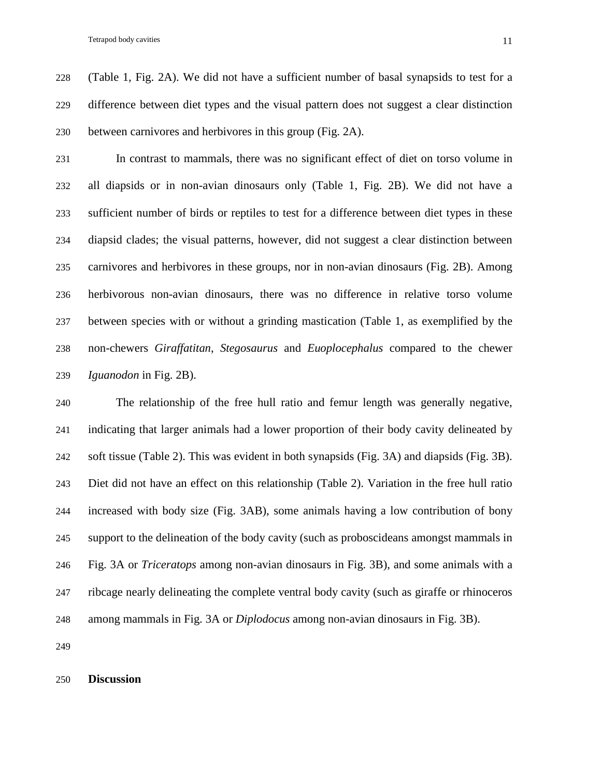(Table 1, Fig. 2A). We did not have a sufficient number of basal synapsids to test for a difference between diet types and the visual pattern does not suggest a clear distinction between carnivores and herbivores in this group (Fig. 2A).

 In contrast to mammals, there was no significant effect of diet on torso volume in all diapsids or in non-avian dinosaurs only (Table 1, Fig. 2B). We did not have a sufficient number of birds or reptiles to test for a difference between diet types in these diapsid clades; the visual patterns, however, did not suggest a clear distinction between carnivores and herbivores in these groups, nor in non-avian dinosaurs (Fig. 2B). Among herbivorous non-avian dinosaurs, there was no difference in relative torso volume between species with or without a grinding mastication (Table 1, as exemplified by the non-chewers *Giraffatitan*, *Stegosaurus* and *Euoplocephalus* compared to the chewer *Iguanodon* in Fig. 2B).

 The relationship of the free hull ratio and femur length was generally negative, indicating that larger animals had a lower proportion of their body cavity delineated by soft tissue (Table 2). This was evident in both synapsids (Fig. 3A) and diapsids (Fig. 3B). Diet did not have an effect on this relationship (Table 2). Variation in the free hull ratio increased with body size (Fig. 3AB), some animals having a low contribution of bony support to the delineation of the body cavity (such as proboscideans amongst mammals in Fig. 3A or *Triceratops* among non-avian dinosaurs in Fig. 3B), and some animals with a ribcage nearly delineating the complete ventral body cavity (such as giraffe or rhinoceros among mammals in Fig. 3A or *Diplodocus* among non-avian dinosaurs in Fig. 3B).

#### **Discussion**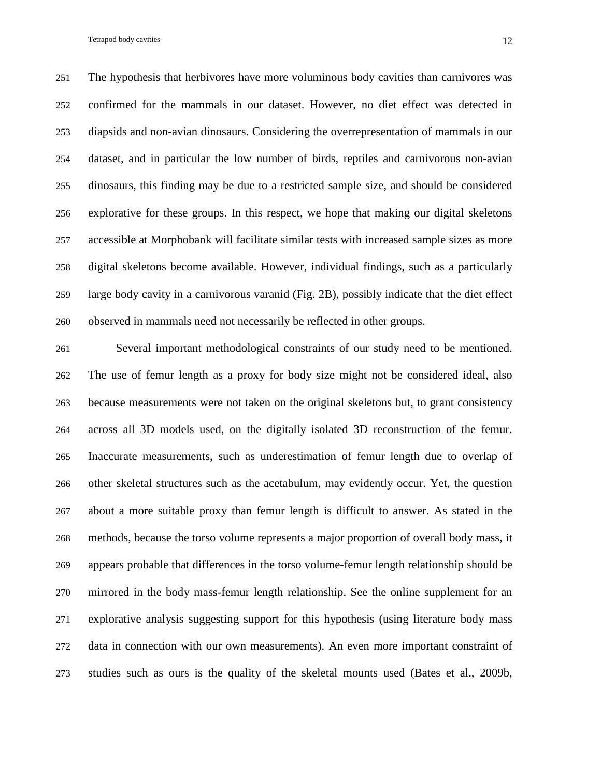The hypothesis that herbivores have more voluminous body cavities than carnivores was confirmed for the mammals in our dataset. However, no diet effect was detected in diapsids and non-avian dinosaurs. Considering the overrepresentation of mammals in our dataset, and in particular the low number of birds, reptiles and carnivorous non-avian dinosaurs, this finding may be due to a restricted sample size, and should be considered explorative for these groups. In this respect, we hope that making our digital skeletons accessible at Morphobank will facilitate similar tests with increased sample sizes as more digital skeletons become available. However, individual findings, such as a particularly large body cavity in a carnivorous varanid (Fig. 2B), possibly indicate that the diet effect observed in mammals need not necessarily be reflected in other groups.

 Several important methodological constraints of our study need to be mentioned. The use of femur length as a proxy for body size might not be considered ideal, also because measurements were not taken on the original skeletons but, to grant consistency across all 3D models used, on the digitally isolated 3D reconstruction of the femur. Inaccurate measurements, such as underestimation of femur length due to overlap of other skeletal structures such as the acetabulum, may evidently occur. Yet, the question about a more suitable proxy than femur length is difficult to answer. As stated in the methods, because the torso volume represents a major proportion of overall body mass, it appears probable that differences in the torso volume-femur length relationship should be mirrored in the body mass-femur length relationship. See the online supplement for an explorative analysis suggesting support for this hypothesis (using literature body mass data in connection with our own measurements). An even more important constraint of studies such as ours is the quality of the skeletal mounts used (Bates et al., 2009b,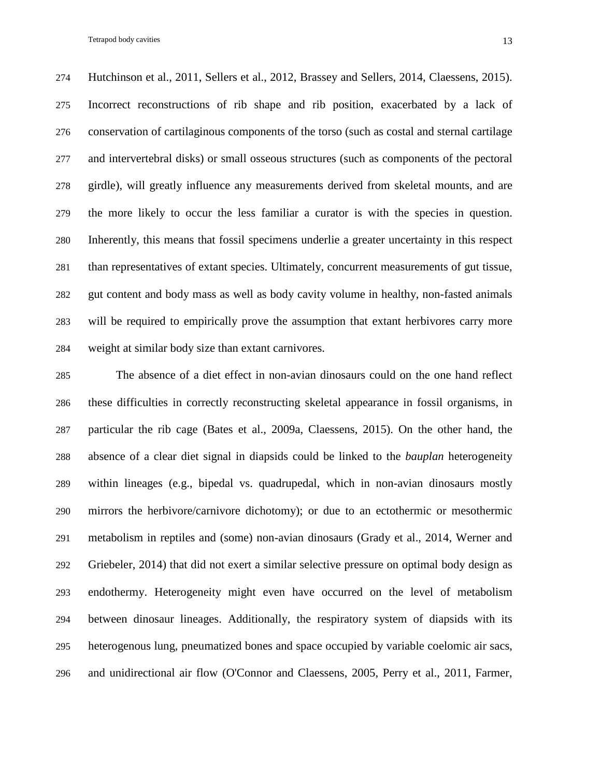Hutchinson et al., 2011, Sellers et al., 2012, Brassey and Sellers, 2014, Claessens, 2015). Incorrect reconstructions of rib shape and rib position, exacerbated by a lack of conservation of cartilaginous components of the torso (such as costal and sternal cartilage and intervertebral disks) or small osseous structures (such as components of the pectoral girdle), will greatly influence any measurements derived from skeletal mounts, and are the more likely to occur the less familiar a curator is with the species in question. Inherently, this means that fossil specimens underlie a greater uncertainty in this respect than representatives of extant species. Ultimately, concurrent measurements of gut tissue, gut content and body mass as well as body cavity volume in healthy, non-fasted animals will be required to empirically prove the assumption that extant herbivores carry more weight at similar body size than extant carnivores.

 The absence of a diet effect in non-avian dinosaurs could on the one hand reflect these difficulties in correctly reconstructing skeletal appearance in fossil organisms, in particular the rib cage (Bates et al., 2009a, Claessens, 2015). On the other hand, the absence of a clear diet signal in diapsids could be linked to the *bauplan* heterogeneity within lineages (e.g., bipedal vs. quadrupedal, which in non-avian dinosaurs mostly mirrors the herbivore/carnivore dichotomy); or due to an ectothermic or mesothermic metabolism in reptiles and (some) non-avian dinosaurs (Grady et al., 2014, Werner and Griebeler, 2014) that did not exert a similar selective pressure on optimal body design as endothermy. Heterogeneity might even have occurred on the level of metabolism between dinosaur lineages. Additionally, the respiratory system of diapsids with its heterogenous lung, pneumatized bones and space occupied by variable coelomic air sacs, and unidirectional air flow (O'Connor and Claessens, 2005, Perry et al., 2011, Farmer,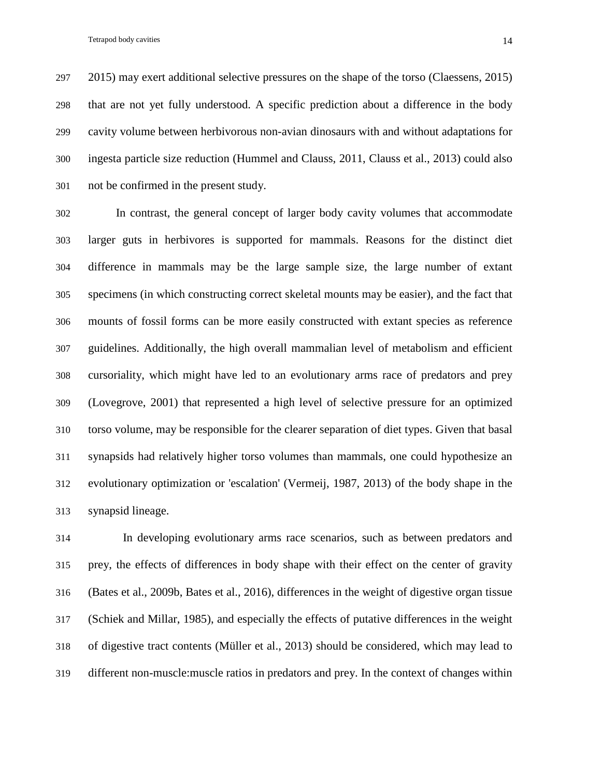2015) may exert additional selective pressures on the shape of the torso (Claessens, 2015) that are not yet fully understood. A specific prediction about a difference in the body cavity volume between herbivorous non-avian dinosaurs with and without adaptations for ingesta particle size reduction (Hummel and Clauss, 2011, Clauss et al., 2013) could also not be confirmed in the present study.

 In contrast, the general concept of larger body cavity volumes that accommodate larger guts in herbivores is supported for mammals. Reasons for the distinct diet difference in mammals may be the large sample size, the large number of extant specimens (in which constructing correct skeletal mounts may be easier), and the fact that mounts of fossil forms can be more easily constructed with extant species as reference guidelines. Additionally, the high overall mammalian level of metabolism and efficient cursoriality, which might have led to an evolutionary arms race of predators and prey (Lovegrove, 2001) that represented a high level of selective pressure for an optimized torso volume, may be responsible for the clearer separation of diet types. Given that basal synapsids had relatively higher torso volumes than mammals, one could hypothesize an evolutionary optimization or 'escalation' (Vermeij, 1987, 2013) of the body shape in the synapsid lineage.

 In developing evolutionary arms race scenarios, such as between predators and prey, the effects of differences in body shape with their effect on the center of gravity (Bates et al., 2009b, Bates et al., 2016), differences in the weight of digestive organ tissue (Schiek and Millar, 1985), and especially the effects of putative differences in the weight of digestive tract contents (Müller et al., 2013) should be considered, which may lead to different non-muscle:muscle ratios in predators and prey. In the context of changes within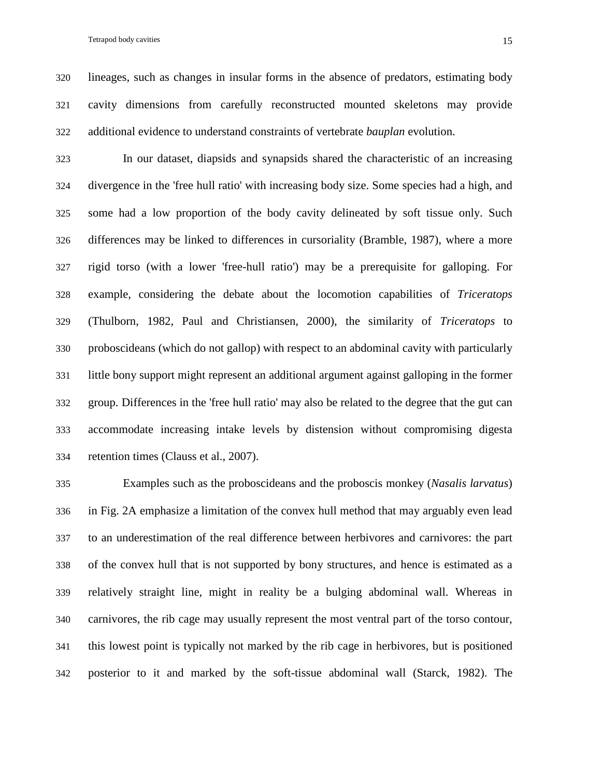lineages, such as changes in insular forms in the absence of predators, estimating body cavity dimensions from carefully reconstructed mounted skeletons may provide additional evidence to understand constraints of vertebrate *bauplan* evolution.

 In our dataset, diapsids and synapsids shared the characteristic of an increasing divergence in the 'free hull ratio' with increasing body size. Some species had a high, and some had a low proportion of the body cavity delineated by soft tissue only. Such differences may be linked to differences in cursoriality (Bramble, 1987), where a more rigid torso (with a lower 'free-hull ratio') may be a prerequisite for galloping. For example, considering the debate about the locomotion capabilities of *Triceratops* (Thulborn, 1982, Paul and Christiansen, 2000), the similarity of *Triceratops* to proboscideans (which do not gallop) with respect to an abdominal cavity with particularly little bony support might represent an additional argument against galloping in the former group. Differences in the 'free hull ratio' may also be related to the degree that the gut can accommodate increasing intake levels by distension without compromising digesta retention times (Clauss et al., 2007).

 Examples such as the proboscideans and the proboscis monkey (*Nasalis larvatus*) in Fig. 2A emphasize a limitation of the convex hull method that may arguably even lead to an underestimation of the real difference between herbivores and carnivores: the part of the convex hull that is not supported by bony structures, and hence is estimated as a relatively straight line, might in reality be a bulging abdominal wall. Whereas in carnivores, the rib cage may usually represent the most ventral part of the torso contour, this lowest point is typically not marked by the rib cage in herbivores, but is positioned posterior to it and marked by the soft-tissue abdominal wall (Starck, 1982). The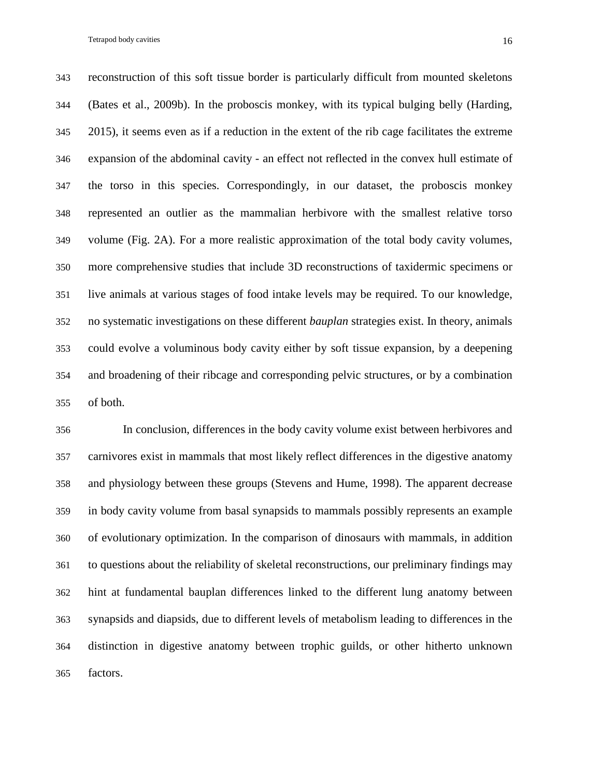reconstruction of this soft tissue border is particularly difficult from mounted skeletons (Bates et al., 2009b). In the proboscis monkey, with its typical bulging belly (Harding, 2015), it seems even as if a reduction in the extent of the rib cage facilitates the extreme expansion of the abdominal cavity - an effect not reflected in the convex hull estimate of the torso in this species. Correspondingly, in our dataset, the proboscis monkey represented an outlier as the mammalian herbivore with the smallest relative torso volume (Fig. 2A). For a more realistic approximation of the total body cavity volumes, more comprehensive studies that include 3D reconstructions of taxidermic specimens or live animals at various stages of food intake levels may be required. To our knowledge, no systematic investigations on these different *bauplan* strategies exist. In theory, animals could evolve a voluminous body cavity either by soft tissue expansion, by a deepening and broadening of their ribcage and corresponding pelvic structures, or by a combination of both.

 In conclusion, differences in the body cavity volume exist between herbivores and carnivores exist in mammals that most likely reflect differences in the digestive anatomy and physiology between these groups (Stevens and Hume, 1998). The apparent decrease in body cavity volume from basal synapsids to mammals possibly represents an example of evolutionary optimization. In the comparison of dinosaurs with mammals, in addition to questions about the reliability of skeletal reconstructions, our preliminary findings may hint at fundamental bauplan differences linked to the different lung anatomy between synapsids and diapsids, due to different levels of metabolism leading to differences in the distinction in digestive anatomy between trophic guilds, or other hitherto unknown factors.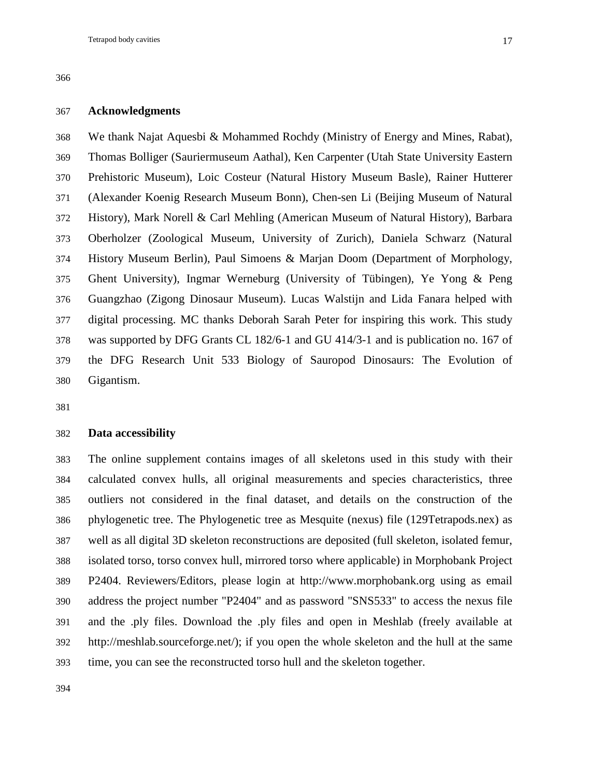#### **Acknowledgments**

 We thank Najat Aquesbi & Mohammed Rochdy (Ministry of Energy and Mines, Rabat), Thomas Bolliger (Sauriermuseum Aathal), Ken Carpenter (Utah State University Eastern Prehistoric Museum), Loic Costeur (Natural History Museum Basle), Rainer Hutterer (Alexander Koenig Research Museum Bonn), Chen-sen Li (Beijing Museum of Natural History), Mark Norell & Carl Mehling (American Museum of Natural History), Barbara Oberholzer (Zoological Museum, University of Zurich), Daniela Schwarz (Natural History Museum Berlin), Paul Simoens & Marjan Doom (Department of Morphology, Ghent University), Ingmar Werneburg (University of Tübingen), Ye Yong & Peng Guangzhao (Zigong Dinosaur Museum). Lucas Walstijn and Lida Fanara helped with digital processing. MC thanks Deborah Sarah Peter for inspiring this work. This study was supported by DFG Grants CL 182/6-1 and GU 414/3-1 and is publication no. 167 of the DFG Research Unit 533 Biology of Sauropod Dinosaurs: The Evolution of Gigantism.

#### **Data accessibility**

 The online supplement contains images of all skeletons used in this study with their calculated convex hulls, all original measurements and species characteristics, three outliers not considered in the final dataset, and details on the construction of the phylogenetic tree. The Phylogenetic tree as Mesquite (nexus) file (129Tetrapods.nex) as well as all digital 3D skeleton reconstructions are deposited (full skeleton, isolated femur, isolated torso, torso convex hull, mirrored torso where applicable) in Morphobank Project P2404. Reviewers/Editors, please login at http://www.morphobank.org using as email address the project number "P2404" and as password "SNS533" to access the nexus file and the .ply files. Download the .ply files and open in Meshlab (freely available at http://meshlab.sourceforge.net/); if you open the whole skeleton and the hull at the same time, you can see the reconstructed torso hull and the skeleton together.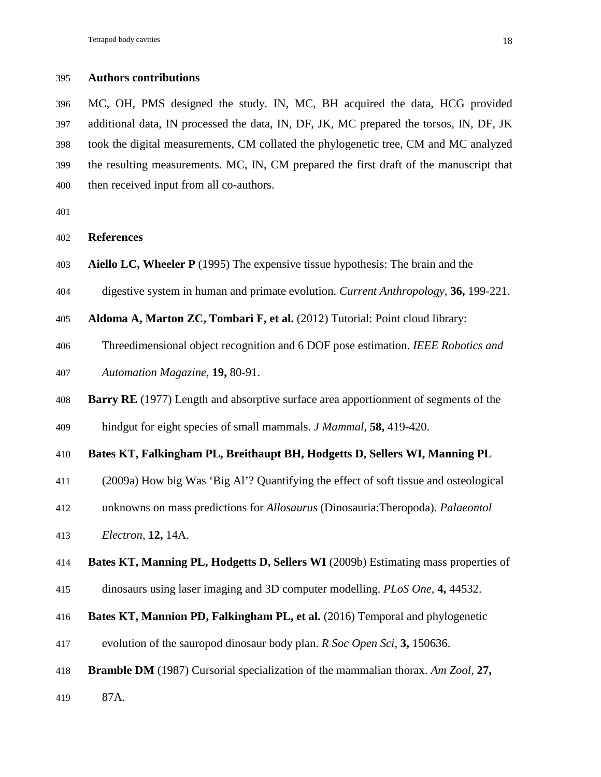#### **Authors contributions**

 MC, OH, PMS designed the study. IN, MC, BH acquired the data, HCG provided additional data, IN processed the data, IN, DF, JK, MC prepared the torsos, IN, DF, JK took the digital measurements, CM collated the phylogenetic tree, CM and MC analyzed the resulting measurements. MC, IN, CM prepared the first draft of the manuscript that then received input from all co-authors.

```
401
```
**References**

- **Aiello LC, Wheeler P** (1995) The expensive tissue hypothesis: The brain and the
- digestive system in human and primate evolution. *Current Anthropology,* **36,** 199-221.

**Aldoma A, Marton ZC, Tombari F, et al.** (2012) Tutorial: Point cloud library:

Threedimensional object recognition and 6 DOF pose estimation. *IEEE Robotics and* 

```
407 Automation Magazine, 19, 80-91.
```
**Barry RE** (1977) Length and absorptive surface area apportionment of segments of the

hindgut for eight species of small mammals. *J Mammal,* **58,** 419-420.

## **Bates KT, Falkingham PL, Breithaupt BH, Hodgetts D, Sellers WI, Manning PL**

- (2009a) How big Was 'Big Al'? Quantifying the effect of soft tissue and osteological
- unknowns on mass predictions for *Allosaurus* (Dinosauria:Theropoda). *Palaeontol*
- *Electron,* **12,** 14A.

### **Bates KT, Manning PL, Hodgetts D, Sellers WI** (2009b) Estimating mass properties of

- dinosaurs using laser imaging and 3D computer modelling. *PLoS One,* **4,** 44532.
- **Bates KT, Mannion PD, Falkingham PL, et al.** (2016) Temporal and phylogenetic
- evolution of the sauropod dinosaur body plan. *R Soc Open Sci,* **3,** 150636.
- **Bramble DM** (1987) Cursorial specialization of the mammalian thorax. *Am Zool,* **27,**

87A.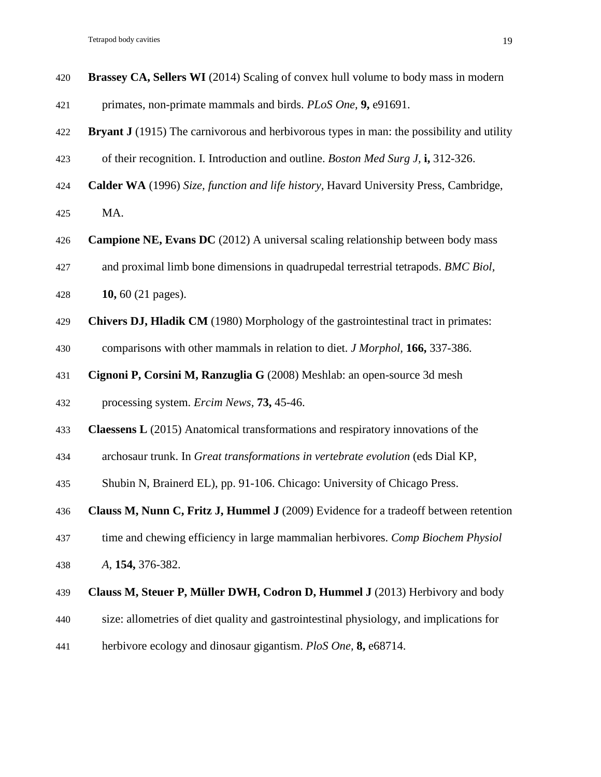| 420 | Brassey CA, Sellers WI (2014) Scaling of convex hull volume to body mass in modern               |
|-----|--------------------------------------------------------------------------------------------------|
| 421 | primates, non-primate mammals and birds. PLoS One, 9, e91691.                                    |
| 422 | <b>Bryant J</b> (1915) The carnivorous and herbivorous types in man: the possibility and utility |
| 423 | of their recognition. I. Introduction and outline. Boston Med Surg J, i, 312-326.                |
| 424 | Calder WA (1996) Size, function and life history, Havard University Press, Cambridge,            |
| 425 | MA.                                                                                              |
| 426 | Campione NE, Evans DC (2012) A universal scaling relationship between body mass                  |
| 427 | and proximal limb bone dimensions in quadrupedal terrestrial tetrapods. BMC Biol,                |
| 428 | 10, 60 (21 pages).                                                                               |
| 429 | Chivers DJ, Hladik CM (1980) Morphology of the gastrointestinal tract in primates:               |
| 430 | comparisons with other mammals in relation to diet. J Morphol, 166, 337-386.                     |
| 431 | Cignoni P, Corsini M, Ranzuglia G (2008) Meshlab: an open-source 3d mesh                         |
| 432 | processing system. Ercim News, 73, 45-46.                                                        |
| 433 | <b>Claessens L</b> (2015) Anatomical transformations and respiratory innovations of the          |
| 434 | archosaur trunk. In Great transformations in vertebrate evolution (eds Dial KP,                  |
| 435 | Shubin N, Brainerd EL), pp. 91-106. Chicago: University of Chicago Press.                        |
| 436 | Clauss M, Nunn C, Fritz J, Hummel J (2009) Evidence for a tradeoff between retention             |
| 437 | time and chewing efficiency in large mammalian herbivores. Comp Biochem Physiol                  |
| 438 | A, 154, 376-382.                                                                                 |
| 439 | Clauss M, Steuer P, Müller DWH, Codron D, Hummel J (2013) Herbivory and body                     |
| 440 | size: allometries of diet quality and gastrointestinal physiology, and implications for          |
|     |                                                                                                  |

herbivore ecology and dinosaur gigantism. *PloS One,* **8,** e68714.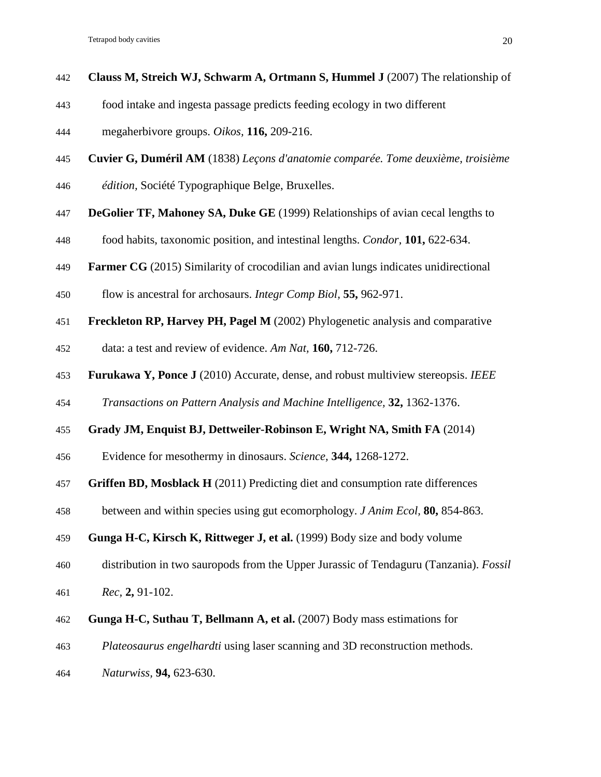- **Clauss M, Streich WJ, Schwarm A, Ortmann S, Hummel J** (2007) The relationship of
- food intake and ingesta passage predicts feeding ecology in two different
- megaherbivore groups. *Oikos,* **116,** 209-216.
- **Cuvier G, Duméril AM** (1838) *Leçons d'anatomie comparée. Tome deuxième, troisième*
- *édition,* Société Typographique Belge, Bruxelles.
- **DeGolier TF, Mahoney SA, Duke GE** (1999) Relationships of avian cecal lengths to
- food habits, taxonomic position, and intestinal lengths. *Condor,* **101,** 622-634.
- **Farmer CG** (2015) Similarity of crocodilian and avian lungs indicates unidirectional
- flow is ancestral for archosaurs. *Integr Comp Biol,* **55,** 962-971.
- **Freckleton RP, Harvey PH, Pagel M** (2002) Phylogenetic analysis and comparative
- data: a test and review of evidence. *Am Nat,* **160,** 712-726.
- **Furukawa Y, Ponce J** (2010) Accurate, dense, and robust multiview stereopsis. *IEEE*
- *Transactions on Pattern Analysis and Machine Intelligence,* **32,** 1362-1376.
- **Grady JM, Enquist BJ, Dettweiler-Robinson E, Wright NA, Smith FA** (2014)
- Evidence for mesothermy in dinosaurs. *Science,* **344,** 1268-1272.
- **Griffen BD, Mosblack H** (2011) Predicting diet and consumption rate differences
- between and within species using gut ecomorphology. *J Anim Ecol,* **80,** 854-863.
- **Gunga H-C, Kirsch K, Rittweger J, et al.** (1999) Body size and body volume
- distribution in two sauropods from the Upper Jurassic of Tendaguru (Tanzania). *Fossil*
- *Rec,* **2,** 91-102.
- **Gunga H-C, Suthau T, Bellmann A, et al.** (2007) Body mass estimations for
- *Plateosaurus engelhardti* using laser scanning and 3D reconstruction methods.
- *Naturwiss,* **94,** 623-630.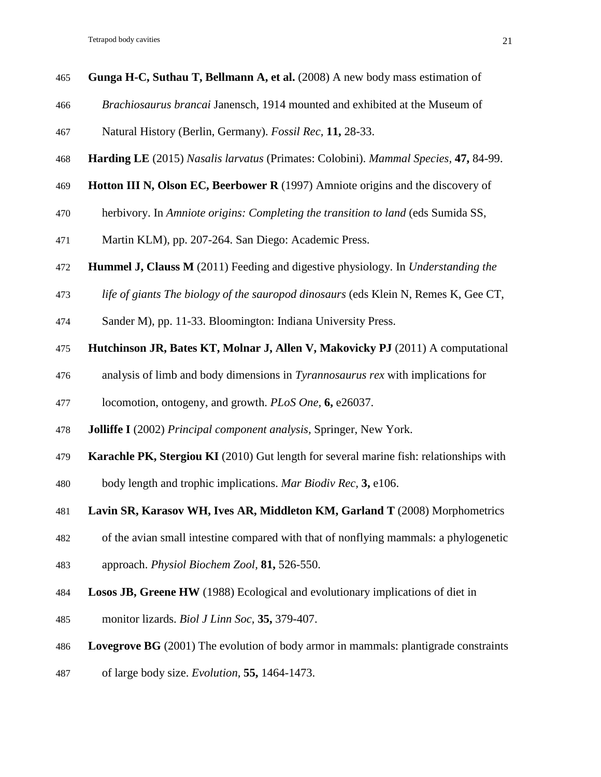- **Gunga H-C, Suthau T, Bellmann A, et al.** (2008) A new body mass estimation of
- *Brachiosaurus brancai* Janensch, 1914 mounted and exhibited at the Museum of
- Natural History (Berlin, Germany). *Fossil Rec,* **11,** 28-33.
- **Harding LE** (2015) *Nasalis larvatus* (Primates: Colobini). *Mammal Species,* **47,** 84-99.
- **Hotton III N, Olson EC, Beerbower R** (1997) Amniote origins and the discovery of
- herbivory. In *Amniote origins: Completing the transition to land* (eds Sumida SS,
- Martin KLM), pp. 207-264. San Diego: Academic Press.
- **Hummel J, Clauss M** (2011) Feeding and digestive physiology. In *Understanding the*
- *life of giants The biology of the sauropod dinosaurs* (eds Klein N, Remes K, Gee CT,
- Sander M), pp. 11-33. Bloomington: Indiana University Press.
- **Hutchinson JR, Bates KT, Molnar J, Allen V, Makovicky PJ** (2011) A computational
- analysis of limb and body dimensions in *Tyrannosaurus rex* with implications for
- locomotion, ontogeny, and growth. *PLoS One,* **6,** e26037.
- **Jolliffe I** (2002) *Principal component analysis,* Springer, New York.
- **Karachle PK, Stergiou KI** (2010) Gut length for several marine fish: relationships with
- body length and trophic implications. *Mar Biodiv Rec,* **3,** e106.
- **Lavin SR, Karasov WH, Ives AR, Middleton KM, Garland T** (2008) Morphometrics
- of the avian small intestine compared with that of nonflying mammals: a phylogenetic
- approach. *Physiol Biochem Zool,* **81,** 526-550.
- **Losos JB, Greene HW** (1988) Ecological and evolutionary implications of diet in
- monitor lizards. *Biol J Linn Soc,* **35,** 379-407.
- **Lovegrove BG** (2001) The evolution of body armor in mammals: plantigrade constraints
- of large body size. *Evolution,* **55,** 1464-1473.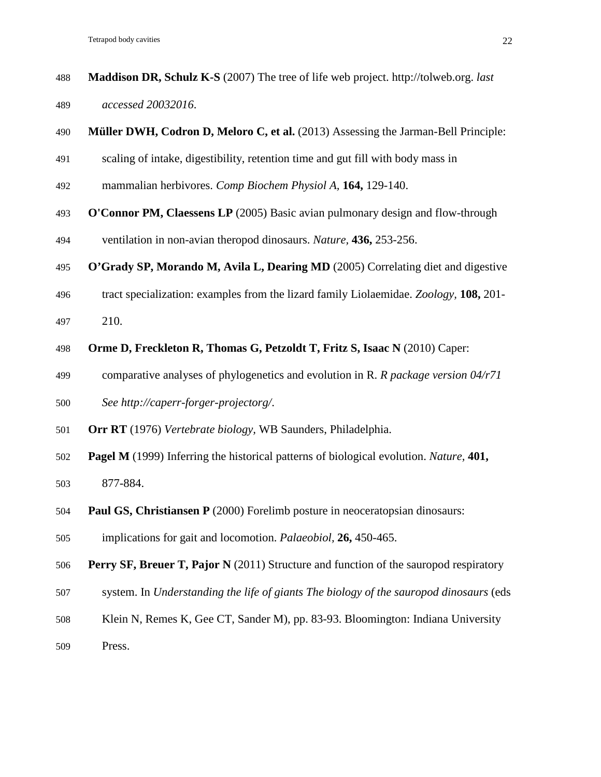| 488 | <b>Maddison DR, Schulz K-S</b> (2007) The tree of life web project. http://tolweb.org. <i>last</i> |  |
|-----|----------------------------------------------------------------------------------------------------|--|
| 489 | accessed 20032016.                                                                                 |  |

- **Müller DWH, Codron D, Meloro C, et al.** (2013) Assessing the Jarman-Bell Principle:
- scaling of intake, digestibility, retention time and gut fill with body mass in
- mammalian herbivores. *Comp Biochem Physiol A,* **164,** 129-140.
- **O'Connor PM, Claessens LP** (2005) Basic avian pulmonary design and flow-through
- ventilation in non-avian theropod dinosaurs. *Nature,* **436,** 253-256.
- **O'Grady SP, Morando M, Avila L, Dearing MD** (2005) Correlating diet and digestive
- tract specialization: examples from the lizard family Liolaemidae. *Zoology,* **108,** 201-
- 210.
- **Orme D, Freckleton R, Thomas G, Petzoldt T, Fritz S, Isaac N** (2010) Caper:
- comparative analyses of phylogenetics and evolution in R. *R package version 04/r71*
- *See http://caperr-forger-projectorg/*.
- **Orr RT** (1976) *Vertebrate biology,* WB Saunders, Philadelphia.
- **Pagel M** (1999) Inferring the historical patterns of biological evolution. *Nature,* **401,**
- 877-884.
- **Paul GS, Christiansen P** (2000) Forelimb posture in neoceratopsian dinosaurs:
- implications for gait and locomotion. *Palaeobiol,* **26,** 450-465.
- **Perry SF, Breuer T, Pajor N** (2011) Structure and function of the sauropod respiratory
- system. In *Understanding the life of giants The biology of the sauropod dinosaurs* (eds
- Klein N, Remes K, Gee CT, Sander M), pp. 83-93. Bloomington: Indiana University
- Press.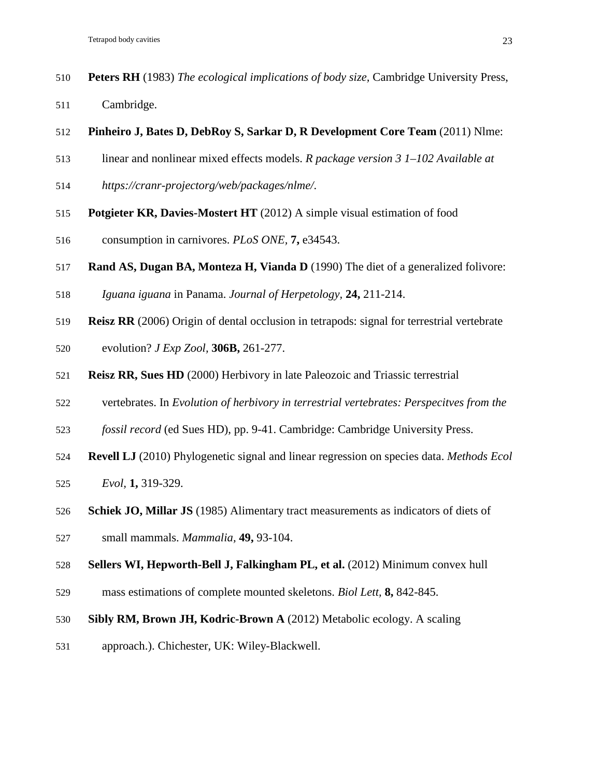- **Peters RH** (1983) *The ecological implications of body size,* Cambridge University Press,
- Cambridge.
- **Pinheiro J, Bates D, DebRoy S, Sarkar D, R Development Core Team** (2011) Nlme:
- linear and nonlinear mixed effects models. *R package version 3 1–102 Available at*
- *https://cranr-projectorg/web/packages/nlme/*.
- **Potgieter KR, Davies-Mostert HT** (2012) A simple visual estimation of food
- consumption in carnivores. *PLoS ONE,* **7,** e34543.
- **Rand AS, Dugan BA, Monteza H, Vianda D** (1990) The diet of a generalized folivore:
- *Iguana iguana* in Panama. *Journal of Herpetology,* **24,** 211-214.
- **Reisz RR** (2006) Origin of dental occlusion in tetrapods: signal for terrestrial vertebrate
- evolution? *J Exp Zool,* **306B,** 261-277.
- **Reisz RR, Sues HD** (2000) Herbivory in late Paleozoic and Triassic terrestrial
- vertebrates. In *Evolution of herbivory in terrestrial vertebrates: Perspecitves from the*
- *fossil record* (ed Sues HD), pp. 9-41. Cambridge: Cambridge University Press.
- **Revell LJ** (2010) Phylogenetic signal and linear regression on species data. *Methods Ecol*
- *Evol,* **1,** 319-329.
- **Schiek JO, Millar JS** (1985) Alimentary tract measurements as indicators of diets of
- small mammals. *Mammalia,* **49,** 93-104.
- **Sellers WI, Hepworth-Bell J, Falkingham PL, et al.** (2012) Minimum convex hull
- mass estimations of complete mounted skeletons. *Biol Lett,* **8,** 842-845.
- **Sibly RM, Brown JH, Kodric-Brown A** (2012) Metabolic ecology. A scaling
- approach.). Chichester, UK: Wiley-Blackwell.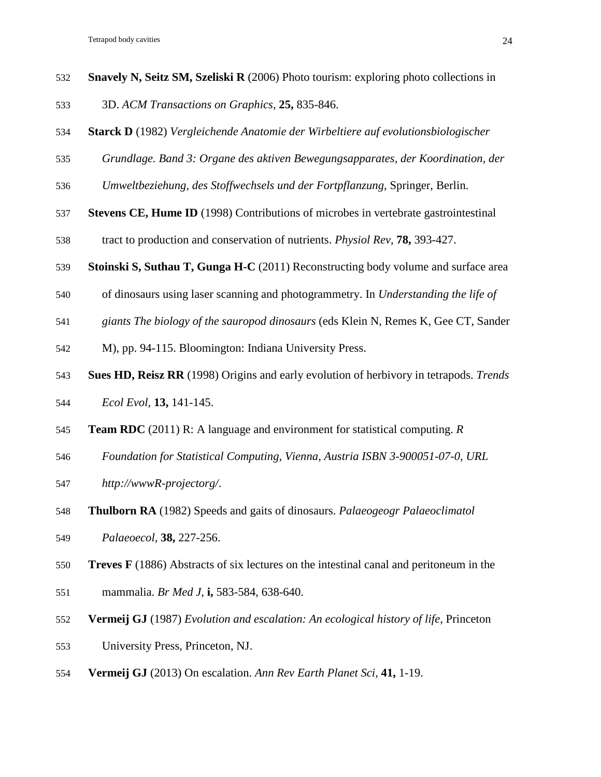- **Snavely N, Seitz SM, Szeliski R** (2006) Photo tourism: exploring photo collections in
- 3D. *ACM Transactions on Graphics,* **25,** 835-846.
- **Starck D** (1982) *Vergleichende Anatomie der Wirbeltiere auf evolutionsbiologischer*
- *Grundlage. Band 3: Organe des aktiven Bewegungsapparates, der Koordination, der*
- *Umweltbeziehung, des Stoffwechsels und der Fortpflanzung,* Springer, Berlin.
- **Stevens CE, Hume ID** (1998) Contributions of microbes in vertebrate gastrointestinal
- tract to production and conservation of nutrients. *Physiol Rev,* **78,** 393-427.
- **Stoinski S, Suthau T, Gunga H-C** (2011) Reconstructing body volume and surface area
- of dinosaurs using laser scanning and photogrammetry. In *Understanding the life of*
- *giants The biology of the sauropod dinosaurs* (eds Klein N, Remes K, Gee CT, Sander
- M), pp. 94-115. Bloomington: Indiana University Press.
- **Sues HD, Reisz RR** (1998) Origins and early evolution of herbivory in tetrapods. *Trends*
- *Ecol Evol,* **13,** 141-145.
- **Team RDC** (2011) R: A language and environment for statistical computing. *R*
- *Foundation for Statistical Computing, Vienna, Austria ISBN 3-900051-07-0, URL*
- *http://wwwR-projectorg/*.
- **Thulborn RA** (1982) Speeds and gaits of dinosaurs. *Palaeogeogr Palaeoclimatol*
- *Palaeoecol,* **38,** 227-256.
- **Treves F** (1886) Abstracts of six lectures on the intestinal canal and peritoneum in the
- mammalia. *Br Med J,* **i,** 583-584, 638-640.
- **Vermeij GJ** (1987) *Evolution and escalation: An ecological history of life,* Princeton
- University Press, Princeton, NJ.
- **Vermeij GJ** (2013) On escalation. *Ann Rev Earth Planet Sci,* **41,** 1-19.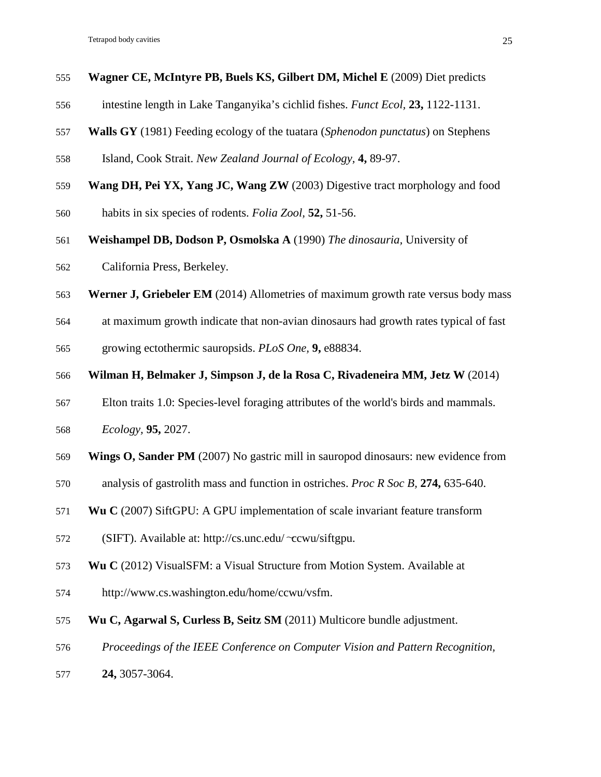- **Wagner CE, McIntyre PB, Buels KS, Gilbert DM, Michel E** (2009) Diet predicts
- intestine length in Lake Tanganyika's cichlid fishes. *Funct Ecol,* **23,** 1122-1131.
- **Walls GY** (1981) Feeding ecology of the tuatara (*Sphenodon punctatus*) on Stephens
- Island, Cook Strait. *New Zealand Journal of Ecology,* **4,** 89-97.
- **Wang DH, Pei YX, Yang JC, Wang ZW** (2003) Digestive tract morphology and food
- habits in six species of rodents. *Folia Zool,* **52,** 51-56.
- **Weishampel DB, Dodson P, Osmolska A** (1990) *The dinosauria,* University of
- California Press, Berkeley.
- **Werner J, Griebeler EM** (2014) Allometries of maximum growth rate versus body mass
- at maximum growth indicate that non-avian dinosaurs had growth rates typical of fast

growing ectothermic sauropsids. *PLoS One,* **9,** e88834.

- **Wilman H, Belmaker J, Simpson J, de la Rosa C, Rivadeneira MM, Jetz W** (2014)
- Elton traits 1.0: Species-level foraging attributes of the world's birds and mammals.
- *Ecology,* **95,** 2027.
- **Wings O, Sander PM** (2007) No gastric mill in sauropod dinosaurs: new evidence from
- analysis of gastrolith mass and function in ostriches. *Proc R Soc B,* **274,** 635-640.
- **Wu C** (2007) SiftGPU: A GPU implementation of scale invariant feature transform
- (SIFT). Available at: http://cs.unc.edu/∼ccwu/siftgpu.
- **Wu C** (2012) VisualSFM: a Visual Structure from Motion System. Available at
- http://www.cs.washington.edu/home/ccwu/vsfm.
- **Wu C, Agarwal S, Curless B, Seitz SM** (2011) Multicore bundle adjustment.
- *Proceedings of the IEEE Conference on Computer Vision and Pattern Recognition,*
- **24,** 3057-3064.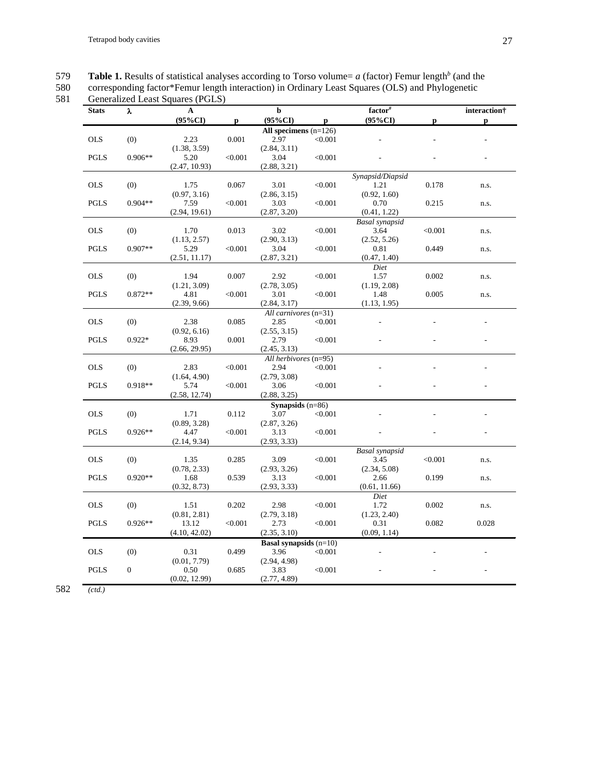**Table 1.** Results of statistical analyses according to Torso volume=  $a$  (factor) Femur length<sup>b</sup> (and the corresponding factor\*Femur length interaction) in Ordinary Least Squares (OLS) and Phylogenetic

580 corresponding factor\*Femur length interaction) in Ordinary Least Squares (OLS) and Phylogenetic

**Stats** λ **A b factor# interaction† (95%CI) p (95%CI) p (95%CI) p p All specimens** (n=126)<br>2.97 <0.001 OLS (0) 2.23 (1.38, 3.59)  $0.001$ (2.84, 3.11)  $< 0.001$ PGLS 0.906\*\* 5.20 (2.47, 10.93) <0.001 3.04 (2.88, 3.21)  $<\!\!0.001$ *Synapsid/Diapsid* OLS (0) 1.75 (0.97, 3.16) 0.067 3.01  $(2.86, 3.15)$ <br>3.03  $< 0.001$  1.21 (0.92, 1.60) 0.178 n.s. PGLS 0.904\*\* 7.59 (2.94, 19.61)  $<\!\!0.001$ (2.87, 3.20)  $< 0.001$  0.70 (0.41, 1.22) 0.215 n.s. *Basal synapsid* OLS (0) 1.70 (1.13, 2.57) 0.013 3.02 (2.90, 3.13)  $< 0.001$ (2.52, 5.26) <0.001 n.s. PGLS 0.907\*\* 5.29 (2.51, 11.17)  $< 0.001$  3.04 (2.87, 3.21)  $< 0.001$  0.81 (0.47, 1.40) 0.449 n.s. *Diet* OLS (0) 1.94 (1.21, 3.09) 0.007 2.92 (2.78, 3.05)  $< 0.001$  1.57 (1.19, 2.08) 0.002 n.s. PGLS 0.872\*\* 4.81 (2.39, 9.66) <0.001 3.01 (2.84, 3.17)  $< 0.001$  1.48 (1.13, 1.95) 0.005 n.s. *All carnivores* (n=31)<br>2.85 < 0.00 OLS (0) 2.38 (0.92, 6.16)  $0.085$  $(2.55, 3.15)$ <br>2.79 <0.001 - - - PGLS 0.922\* 8.93 (2.66, 29.95)  $0.001$ (2.45, 3.13) <0.001 - - - *All herbivores* (n=95) OLS (0) 2.83 (1.64, 4.90)  $< 0.001$ (2.79, 3.08)  $< 0.001$  -PGLS 0.918\*\* 5.74 (2.58, 12.74) <0.001 3.06 (2.88, 3.25)  $< 0.001$ **Synapsids** (n=86)<br>3.07 < 0.0 OLS (0) 1.71  $(0.89, 3.28)$ <br>4.47  $0.112$  $(2.87, 3.26)$ <br>3.13  $< 0.001$ PGLS 0.926\*\* (2.14, 9.34)  $< 0.001$ (2.93, 3.33)  $< 0.001$ *Basal synapsid* OLS (0) 1.35 (0.78, 2.33) 0.285 3.09 (2.93, 3.26) <0.001 3.45 (2.34, 5.08)  $< 0.001$  n.s. PGLS  $0.920**$  1.68 (0.32, 8.73) 0.539 3.13 (2.93, 3.33)  $< 0.001$  2.66 (0.61, 11.66) 0.199 n.s. *Diet* OLS (0) 1.51  $(0.81, 2.81)$ <br> $13.12$ 0.202 2.98  $(2.79, 3.18)$ <br>2.73  $< 0.001$  1.72  $(1.23, 2.40)$ <br>0.31 0.002 n.s. PGLS 0.926\*\* (4.10, 42.02)  $< 0.001$ (2.35, 3.10)  $< 0.001$ (0.09, 1.14) 0.082 0.028 **Basal synapsids** (n=10)<br>3.96 < 0.001 OLS (0) 0.31 (0.01, 7.79) 0.499 (2.94, 4.98) <0.001 - - - PGLS 0 0.50 (0.02, 12.99) 0.685 3.83 (2.77, 4.89)  $< 0.001$  -

582 *(ctd.)*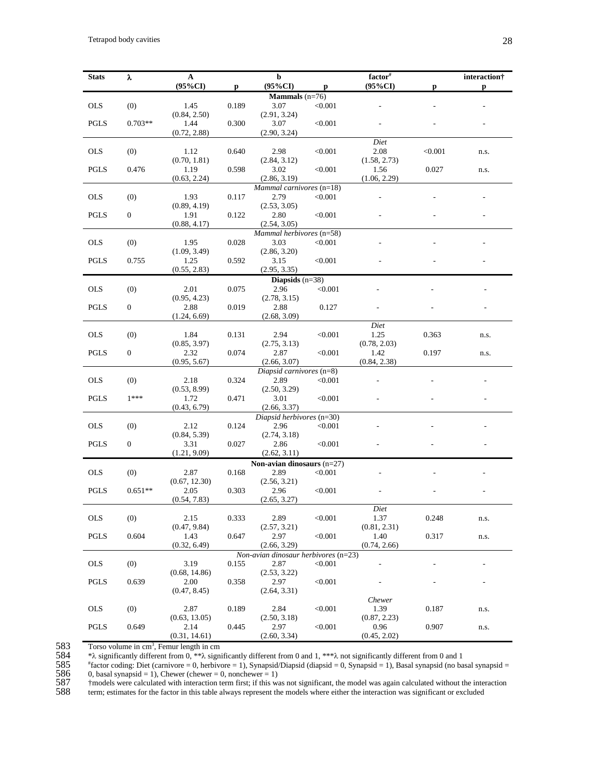| <b>Stats</b> | λ              | ${\bf A}$             |              | $\mathbf b$                              |         | $factor$ <sup>#</sup> |         | interaction† |  |
|--------------|----------------|-----------------------|--------------|------------------------------------------|---------|-----------------------|---------|--------------|--|
|              |                | $(95\%CI)$            | $\mathbf{p}$ | $(95\%CI)$                               | p       | $(95\%CI)$            | p       | p            |  |
|              |                |                       |              | <b>Mammals</b> $(n=76)$                  |         |                       |         |              |  |
| <b>OLS</b>   | (0)            | 1.45                  | 0.189        | 3.07                                     | < 0.001 |                       |         |              |  |
|              |                | (0.84, 2.50)          |              | (2.91, 3.24)                             |         |                       |         |              |  |
| <b>PGLS</b>  | $0.703**$      | 1.44                  | 0.300        | 3.07                                     | < 0.001 |                       |         |              |  |
|              |                | (0.72, 2.88)          |              | (2.90, 3.24)                             |         |                       |         |              |  |
|              |                |                       |              |                                          |         | Diet                  |         |              |  |
| <b>OLS</b>   | (0)            | 1.12<br>(0.70, 1.81)  | 0.640        | 2.98<br>(2.84, 3.12)                     | < 0.001 | 2.08<br>(1.58, 2.73)  | < 0.001 | n.s.         |  |
| <b>PGLS</b>  | 0.476          | 1.19                  | 0.598        | 3.02                                     | < 0.001 | 1.56                  | 0.027   | n.s.         |  |
|              |                | (0.63, 2.24)          |              | (2.86, 3.19)                             |         | (1.06, 2.29)          |         |              |  |
|              |                |                       |              | Mammal carnivores (n=18)                 |         |                       |         |              |  |
| <b>OLS</b>   | (0)            | 1.93                  | 0.117        | 2.79                                     | < 0.001 |                       |         |              |  |
|              |                | (0.89, 4.19)          |              | (2.53, 3.05)                             |         |                       |         |              |  |
| <b>PGLS</b>  | $\overline{0}$ | 1.91                  | 0.122        | 2.80                                     | < 0.001 |                       |         |              |  |
|              |                | (0.88, 4.17)          |              | (2.54, 3.05)<br>Mammal herbivores (n=58) |         |                       |         |              |  |
| <b>OLS</b>   | (0)            | 1.95                  | 0.028        | 3.03                                     | < 0.001 |                       |         |              |  |
|              |                | (1.09, 3.49)          |              | (2.86, 3.20)                             |         |                       |         |              |  |
| <b>PGLS</b>  | 0.755          | 1.25                  | 0.592        | 3.15                                     | < 0.001 |                       |         |              |  |
|              |                | (0.55, 2.83)          |              | (2.95, 3.35)                             |         |                       |         |              |  |
|              |                |                       |              | Diapsids $(n=38)$                        |         |                       |         |              |  |
| <b>OLS</b>   | (0)            | 2.01                  | 0.075        | 2.96                                     | < 0.001 |                       |         |              |  |
|              |                | (0.95, 4.23)          |              | (2.78, 3.15)                             |         |                       |         |              |  |
| <b>PGLS</b>  | $\overline{0}$ | 2.88<br>(1.24, 6.69)  | 0.019        | 2.88                                     | 0.127   |                       |         |              |  |
|              |                |                       |              | (2.68, 3.09)                             |         | Diet                  |         |              |  |
| <b>OLS</b>   | (0)            | 1.84                  | 0.131        | 2.94                                     | < 0.001 | 1.25                  | 0.363   | n.s.         |  |
|              |                | (0.85, 3.97)          |              | (2.75, 3.13)                             |         | (0.78, 2.03)          |         |              |  |
| <b>PGLS</b>  | $\overline{0}$ | 2.32                  | 0.074        | 2.87                                     | < 0.001 | 1.42                  | 0.197   | n.s.         |  |
|              |                | (0.95, 5.67)          |              | (2.66, 3.07)                             |         | (0.84, 2.38)          |         |              |  |
|              |                |                       |              | Diapsid carnivores (n=8)                 |         |                       |         |              |  |
| <b>OLS</b>   | (0)            | 2.18                  | 0.324        | 2.89                                     | < 0.001 |                       |         |              |  |
| PGLS         | $1***$         | (0.53, 8.99)<br>1.72  | 0.471        | (2.50, 3.29)<br>3.01                     | < 0.001 |                       |         |              |  |
|              |                | (0.43, 6.79)          |              | (2.66, 3.37)                             |         |                       |         |              |  |
|              |                |                       |              | Diapsid herbivores $(n=30)$              |         |                       |         |              |  |
| <b>OLS</b>   | (0)            | 2.12                  | 0.124        | 2.96                                     | < 0.001 |                       |         |              |  |
|              |                | (0.84, 5.39)          |              | (2.74, 3.18)                             |         |                       |         |              |  |
| PGLS         | $\mathbf{0}$   | 3.31                  | 0.027        | 2.86                                     | < 0.001 |                       |         |              |  |
|              |                | (1.21, 9.09)          |              | (2.62, 3.11)                             |         |                       |         |              |  |
|              |                |                       |              | Non-avian dinosaurs $(n=27)$             |         |                       |         |              |  |
| <b>OLS</b>   | (0)            | 2.87<br>(0.67, 12.30) | 0.168        | 2.89<br>(2.56, 3.21)                     | < 0.001 |                       |         |              |  |
| <b>PGLS</b>  | $0.651**$      | 2.05                  | 0.303        | 2.96                                     | < 0.001 |                       |         |              |  |
|              |                | (0.54, 7.83)          |              | (2.65, 3.27)                             |         |                       |         |              |  |
|              |                |                       |              |                                          |         | Diet                  |         |              |  |
| <b>OLS</b>   | (0)            | 2.15                  | 0.333        | 2.89                                     | < 0.001 | 1.37                  | 0.248   | n.s.         |  |
|              |                | (0.47, 9.84)          |              | (2.57, 3.21)                             |         | (0.81, 2.31)          |         |              |  |
| <b>PGLS</b>  | 0.604          | 1.43                  | 0.647        | 2.97                                     | < 0.001 | 1.40                  | 0.317   | n.s.         |  |
|              |                | (0.32, 6.49)          |              | (2.66, 3.29)                             |         | (0.74, 2.66)          |         |              |  |
|              |                |                       |              | Non-avian dinosaur herbivores (n=23)     |         |                       |         |              |  |
| <b>OLS</b>   | (0)            | 3.19<br>(0.68, 14.86) | 0.155        | 2.87<br>(2.53, 3.22)                     | < 0.001 |                       |         |              |  |
| <b>PGLS</b>  | 0.639          | 2.00                  | 0.358        | 2.97                                     | < 0.001 |                       |         |              |  |
|              |                | (0.47, 8.45)          |              | (2.64, 3.31)                             |         |                       |         |              |  |
| Chewer       |                |                       |              |                                          |         |                       |         |              |  |
| <b>OLS</b>   | (0)            | 2.87                  | 0.189        | 2.84                                     | < 0.001 | 1.39                  | 0.187   | n.s.         |  |
|              |                | (0.63, 13.05)         |              | (2.50, 3.18)                             |         | (0.87, 2.23)          |         |              |  |
| <b>PGLS</b>  | 0.649          | 2.14                  | 0.445        | 2.97                                     | < 0.001 | 0.96                  | 0.907   | n.s.         |  |
|              |                | (0.31, 14.61)         |              | (2.60, 3.34)                             |         | (0.45, 2.02)          |         |              |  |

584 \*λ significantly different from 0, \*\*λ significantly different from 0 and 1, \*\*\*λ not significantly different from 0 and 1

Torso volume in cm<sup>3</sup>, Femur length in cm<br>  $\frac{*}{\lambda}$  significantly different from 0, \*\* $\lambda$  significantly different from 0, \*\* $\lambda$  significantly different conding: Diet (carnivore = 0, herbive 0, basal synapsid = 1). Chew  $*$ factor coding: Diet (carnivore = 0, herbivore = 1), Synapsid/Diapsid (diapsid = 0, Synapsid = 1), Basal synapsid (no basal synapsid = 0, basal synapsid = 1), Chewer (chewer = 0, nonchewer = 1)

587 †models were calculated with interaction term first; if this was not significant, the model was again calculated without the interaction

term; estimates for the factor in this table always represent the models where either the interaction was significant or excluded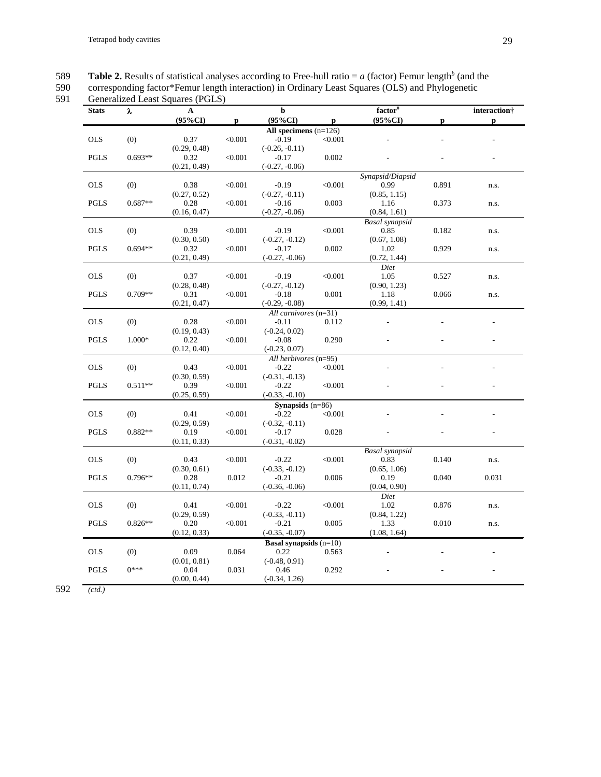**Table 2.** Results of statistical analyses according to Free-hull ratio =  $a$  (factor) Femur length<sup>b</sup> (and the

590 corresponding factor\*Femur length interaction) in Ordinary Least Squares (OLS) and Phylogenetic

# 591 Generalized Least Squares (PGLS)

| <b>Stats</b> | λ         | $\mathbf{A}$ |              | $\mathbf b$                     |              | factor <sup>#</sup>   |       | interaction† |
|--------------|-----------|--------------|--------------|---------------------------------|--------------|-----------------------|-------|--------------|
|              |           | $(95\%CI)$   | $\mathbf{p}$ | $(95\%CI)$                      | $\mathbf{p}$ | $(95\%CI)$            | p     | p            |
|              |           |              |              | All specimens $(n=126)$         |              |                       |       |              |
| <b>OLS</b>   | (0)       | 0.37         | < 0.001      | $-0.19$                         | < 0.001      |                       |       |              |
|              |           | (0.29, 0.48) |              | $(-0.26, -0.11)$                |              |                       |       |              |
| <b>PGLS</b>  | $0.693**$ | 0.32         | < 0.001      | $-0.17$                         | 0.002        |                       |       |              |
|              |           | (0.21, 0.49) |              | $(-0.27, -0.06)$                |              |                       |       |              |
|              |           |              |              |                                 |              | Synapsid/Diapsid      |       |              |
| <b>OLS</b>   | (0)       | 0.38         | < 0.001      | $-0.19$                         | < 0.001      | 0.99                  | 0.891 | n.s.         |
|              |           | (0.27, 0.52) |              | $(-0.27, -0.11)$                |              | (0.85, 1.15)          |       |              |
| <b>PGLS</b>  | $0.687**$ | 0.28         | < 0.001      | $-0.16$                         | 0.003        | 1.16                  | 0.373 | n.s.         |
|              |           | (0.16, 0.47) |              | $(-0.27, -0.06)$                |              | (0.84, 1.61)          |       |              |
|              |           |              |              |                                 |              | <b>Basal</b> synapsid |       |              |
| <b>OLS</b>   | (0)       | 0.39         | < 0.001      | $-0.19$                         | < 0.001      | 0.85                  | 0.182 | n.s.         |
|              |           | (0.30, 0.50) |              | $(-0.27, -0.12)$                |              | (0.67, 1.08)          |       |              |
| PGLS         | $0.694**$ | 0.32         | < 0.001      | $-0.17$                         | 0.002        | 1.02                  | 0.929 | n.s.         |
|              |           | (0.21, 0.49) |              | $(-0.27, -0.06)$                |              | (0.72, 1.44)          |       |              |
|              |           |              |              |                                 |              | Diet                  |       |              |
| <b>OLS</b>   | (0)       | 0.37         | < 0.001      | $-0.19$                         | < 0.001      | 1.05                  | 0.527 | n.s.         |
|              |           | (0.28, 0.48) |              | $(-0.27, -0.12)$                |              | (0.90, 1.23)          |       |              |
| <b>PGLS</b>  | $0.709**$ | 0.31         | < 0.001      | $-0.18$                         | 0.001        | 1.18                  | 0.066 | n.s.         |
|              |           | (0.21, 0.47) |              | $(-0.29, -0.08)$                |              | (0.99, 1.41)          |       |              |
|              |           |              |              | All carnivores (n=31)           |              |                       |       |              |
| <b>OLS</b>   | (0)       | 0.28         | < 0.001      | $-0.11$                         | 0.112        |                       |       |              |
|              |           | (0.19, 0.43) |              | $(-0.24, 0.02)$                 |              |                       |       |              |
| <b>PGLS</b>  | 1.000*    | 0.22         | < 0.001      | $-0.08$                         | 0.290        |                       |       |              |
|              |           | (0.12, 0.40) |              | $(-0.23, 0.07)$                 |              |                       |       |              |
|              |           |              |              | All herbivores (n=95)           |              |                       |       |              |
| <b>OLS</b>   | (0)       | 0.43         | < 0.001      | $-0.22$                         | < 0.001      |                       |       |              |
|              |           | (0.30, 0.59) |              | $(-0.31, -0.13)$                |              |                       |       |              |
| <b>PGLS</b>  | $0.511**$ | 0.39         | < 0.001      | $-0.22$                         | < 0.001      |                       |       |              |
|              |           | (0.25, 0.59) |              | $(-0.33, -0.10)$                |              |                       |       |              |
|              |           |              |              | Synapsids $(n=86)$              |              |                       |       |              |
| <b>OLS</b>   | (0)       | 0.41         | < 0.001      | $-0.22$                         | < 0.001      |                       |       |              |
|              |           | (0.29, 0.59) |              | $(-0.32, -0.11)$                |              |                       |       |              |
| <b>PGLS</b>  | $0.882**$ | 0.19         | < 0.001      | $-0.17$                         | 0.028        |                       |       |              |
|              |           | (0.11, 0.33) |              | $(-0.31, -0.02)$                |              |                       |       |              |
|              |           |              |              |                                 |              | <b>Basal</b> synapsid |       |              |
| <b>OLS</b>   | (0)       | 0.43         | < 0.001      | $-0.22$                         | < 0.001      | 0.83                  | 0.140 | n.s.         |
|              |           | (0.30, 0.61) |              | $(-0.33, -0.12)$                |              | (0.65, 1.06)          |       |              |
| <b>PGLS</b>  | $0.796**$ | 0.28         | 0.012        | $-0.21$                         | 0.006        | 0.19                  | 0.040 | 0.031        |
|              |           | (0.11, 0.74) |              | $(-0.36, -0.06)$                |              | (0.04, 0.90)          |       |              |
|              |           |              |              |                                 |              | Diet                  |       |              |
| <b>OLS</b>   | (0)       | 0.41         | < 0.001      | $-0.22$                         | < 0.001      | 1.02                  | 0.876 | n.s.         |
| <b>PGLS</b>  | $0.826**$ | (0.29, 0.59) |              | $(-0.33, -0.11)$                | 0.005        | (0.84, 1.22)          |       |              |
|              |           | 0.20         | < 0.001      | $-0.21$                         |              | 1.33                  | 0.010 | n.s.         |
|              |           | (0.12, 0.33) |              | $(-0.35, -0.07)$                |              | (1.08, 1.64)          |       |              |
|              |           |              |              | <b>Basal synapsids</b> $(n=10)$ |              |                       |       |              |
| <b>OLS</b>   | (0)       | 0.09         | 0.064        | 0.22                            | 0.563        |                       |       |              |
|              |           | (0.01, 0.81) |              | $(-0.48, 0.91)$                 |              |                       |       |              |
| <b>PGLS</b>  | $0***$    | 0.04         | 0.031        | 0.46                            | 0.292        |                       |       |              |
|              |           | (0.00, 0.44) |              | $(-0.34, 1.26)$                 |              |                       |       |              |

592 *(ctd.)*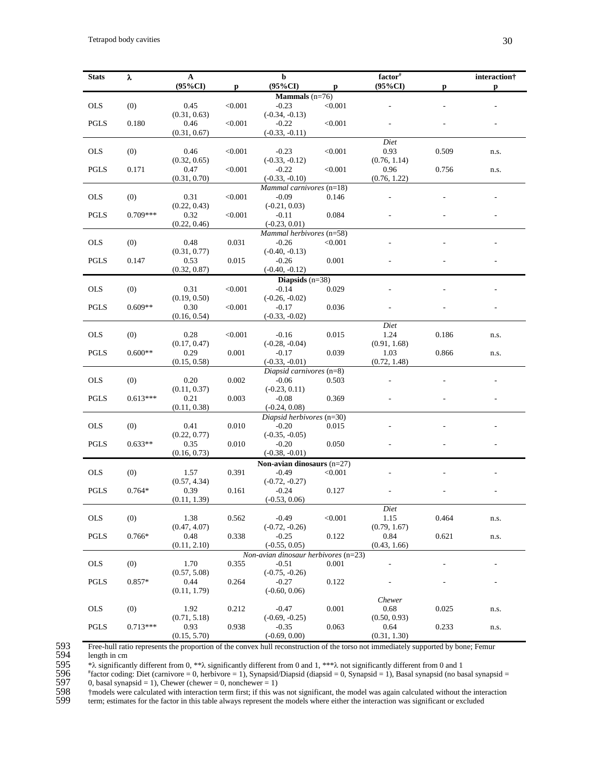| <b>Stats</b>                    | λ          | $\mathbf A$          |              | b                                           |         | factor <sup>#</sup>  |       | interaction†             |  |
|---------------------------------|------------|----------------------|--------------|---------------------------------------------|---------|----------------------|-------|--------------------------|--|
|                                 |            | $(95\%CI)$           | $\mathbf{p}$ | $(95\%CI)$                                  | p       | $(95\%CI)$           | р     | $\mathbf{p}$             |  |
|                                 |            |                      |              | <b>Mammals</b> $(n=76)$                     |         |                      |       |                          |  |
| <b>OLS</b>                      | (0)        | 0.45                 | < 0.001      | $-0.23$                                     | < 0.001 |                      |       |                          |  |
|                                 |            | (0.31, 0.63)         |              | $(-0.34, -0.13)$                            |         |                      |       |                          |  |
| <b>PGLS</b>                     | 0.180      | 0.46                 | < 0.001      | $-0.22$                                     | < 0.001 |                      |       |                          |  |
|                                 |            | (0.31, 0.67)         |              | $(-0.33, -0.11)$                            |         |                      |       |                          |  |
|                                 |            |                      |              |                                             |         | Diet                 |       |                          |  |
| <b>OLS</b>                      | (0)        | 0.46                 | < 0.001      | $-0.23$                                     | < 0.001 | 0.93                 | 0.509 | n.s.                     |  |
|                                 |            | (0.32, 0.65)         |              | $(-0.33, -0.12)$                            |         | (0.76, 1.14)         |       |                          |  |
| <b>PGLS</b>                     | 0.171      | 0.47                 | < 0.001      | $-0.22$                                     | < 0.001 | 0.96                 | 0.756 | n.s.                     |  |
|                                 |            | (0.31, 0.70)         |              | $(-0.33, -0.10)$                            |         | (0.76, 1.22)         |       |                          |  |
|                                 |            |                      |              | Mammal carnivores (n=18)                    |         |                      |       |                          |  |
| <b>OLS</b>                      | (0)        | 0.31                 | < 0.001      | $-0.09$                                     | 0.146   |                      |       |                          |  |
|                                 |            | (0.22, 0.43)         |              | $(-0.21, 0.03)$                             |         |                      |       |                          |  |
| <b>PGLS</b>                     | $0.709***$ | 0.32                 | < 0.001      | $-0.11$                                     | 0.084   |                      |       |                          |  |
|                                 |            | (0.22, 0.46)         |              | $(-0.23, 0.01)$<br>Mammal herbivores (n=58) |         |                      |       |                          |  |
| <b>OLS</b>                      | (0)        | 0.48                 | 0.031        | $-0.26$                                     | < 0.001 |                      |       |                          |  |
|                                 |            | (0.31, 0.77)         |              | $(-0.40, -0.13)$                            |         |                      |       |                          |  |
| <b>PGLS</b>                     | 0.147      | 0.53                 | 0.015        | $-0.26$                                     | 0.001   |                      |       |                          |  |
|                                 |            | (0.32, 0.87)         |              | $(-0.40, -0.12)$                            |         |                      |       |                          |  |
|                                 |            |                      |              | Diapsids $(n=38)$                           |         |                      |       |                          |  |
| <b>OLS</b>                      | (0)        | 0.31                 | < 0.001      | $-0.14$                                     | 0.029   |                      |       |                          |  |
|                                 |            | (0.19, 0.50)         |              | $(-0.26, -0.02)$                            |         |                      |       |                          |  |
| <b>PGLS</b>                     | $0.609**$  | 0.30                 | < 0.001      | $-0.17$                                     | 0.036   |                      |       |                          |  |
|                                 |            | (0.16, 0.54)         |              | $(-0.33, -0.02)$                            |         |                      |       |                          |  |
|                                 |            |                      |              |                                             |         | Diet                 |       |                          |  |
| <b>OLS</b>                      | (0)        | 0.28                 | < 0.001      | $-0.16$                                     | 0.015   | 1.24                 | 0.186 | n.s.                     |  |
|                                 |            | (0.17, 0.47)         |              | $(-0.28, -0.04)$                            |         | (0.91, 1.68)         |       |                          |  |
| <b>PGLS</b>                     | $0.600**$  | 0.29                 | 0.001        | $-0.17$                                     | 0.039   | 1.03                 | 0.866 | n.s.                     |  |
|                                 |            | (0.15, 0.58)         |              | $(-0.33, -0.01)$                            |         | (0.72, 1.48)         |       |                          |  |
|                                 |            |                      |              | Diapsid carnivores (n=8)                    |         |                      |       |                          |  |
| <b>OLS</b>                      | (0)        | 0.20                 | 0.002        | $-0.06$                                     | 0.503   |                      |       |                          |  |
|                                 |            | (0.11, 0.37)         |              | $(-0.23, 0.11)$                             |         |                      |       |                          |  |
| <b>PGLS</b>                     | $0.613***$ | 0.21                 | 0.003        | $-0.08$                                     | 0.369   |                      |       |                          |  |
|                                 |            | (0.11, 0.38)         |              | $(-0.24, 0.08)$                             |         |                      |       |                          |  |
| <b>OLS</b>                      | (0)        | 0.41                 | 0.010        | Diapsid herbivores (n=30)<br>$-0.20$        | 0.015   |                      |       |                          |  |
|                                 |            | (0.22, 0.77)         |              | $(-0.35, -0.05)$                            |         |                      |       |                          |  |
| <b>PGLS</b>                     | $0.633**$  | 0.35                 | 0.010        | $-0.20$                                     | 0.050   |                      |       |                          |  |
|                                 |            | (0.16, 0.73)         |              | $(-0.38, -0.01)$                            |         |                      |       |                          |  |
|                                 |            |                      |              | Non-avian dinosaurs $(n=27)$                |         |                      |       |                          |  |
| <b>OLS</b>                      | (0)        | 1.57                 | 0.391        | $-0.49$                                     | < 0.001 |                      |       |                          |  |
|                                 |            | (0.57, 4.34)         |              | $(-0.72, -0.27)$                            |         |                      |       |                          |  |
| <b>PGLS</b>                     | $0.764*$   | 0.39                 | 0.161        | $-0.24$                                     | 0.127   |                      |       |                          |  |
|                                 |            | (0.11, 1.39)         |              | $(-0.53, 0.06)$                             |         |                      |       |                          |  |
|                                 |            |                      |              |                                             |         | Diet                 |       |                          |  |
| <b>OLS</b>                      | (0)        | 1.38                 | 0.562        | $-0.49$                                     | < 0.001 | 1.15                 | 0.464 | n.s.                     |  |
|                                 |            | (0.47, 4.07)         |              | $(-0.72, -0.26)$                            |         | (0.79, 1.67)         |       |                          |  |
| <b>PGLS</b>                     | $0.766*$   | 0.48                 | 0.338        | $-0.25$                                     | 0.122   | 0.84                 | 0.621 | n.s.                     |  |
|                                 |            | (0.11, 2.10)         |              | $(-0.55, 0.05)$                             |         | (0.43, 1.66)         |       |                          |  |
|                                 |            |                      |              | Non-avian dinosaur herbivores (n=23)        |         |                      |       |                          |  |
| <b>OLS</b>                      | (0)        | 1.70                 | 0.355        | $-0.51$                                     | 0.001   |                      |       |                          |  |
|                                 |            | (0.57, 5.08)         |              | $(-0.75, -0.26)$                            |         |                      |       |                          |  |
| <b>PGLS</b>                     | $0.857*$   | 0.44                 | 0.264        | $-0.27$                                     | 0.122   |                      |       | $\overline{\phantom{a}}$ |  |
| (0.11, 1.79)<br>$(-0.60, 0.06)$ |            |                      |              |                                             |         |                      |       |                          |  |
|                                 |            |                      |              |                                             |         | Chewer               |       |                          |  |
| OLS                             | (0)        | 1.92                 | 0.212        | $-0.47$                                     | 0.001   | 0.68                 | 0.025 | n.s.                     |  |
| <b>PGLS</b>                     | $0.713***$ | (0.71, 5.18)<br>0.93 | 0.938        | $(-0.69, -0.25)$<br>$-0.35$                 | 0.063   | (0.50, 0.93)<br>0.64 | 0.233 |                          |  |
|                                 |            | (0.15, 5.70)         |              | $(-0.69, 0.00)$                             |         | (0.31, 1.30)         |       | n.s.                     |  |
|                                 |            |                      |              |                                             |         |                      |       |                          |  |

593 Free-hull ratio represents the proportion of the convex hull reconstruction of the torso not immediately supported by bone; Femur length in cm

595 \*λ significantly different from 0, \*\*λ significantly different from 0 and 1, \*\*\*λ not significantly different from 0 and 1

594 length in cm<br>595  $* \lambda$  significan<br>596  $*$  factor codin<br>597 0, basal syna<br>598  $*$  models wer 596  $*$  factor coding: Diet (carnivore = 0, herbivore = 1), Synapsid/Diapsid (diapsid = 0, Synapsid = 1), Basal synapsid (no basal synapsid = 597 0, basal synapsid = 1), Chewer (chewer = 0, nonchewer = 1)

598 †models were calculated with interaction term first; if this was not significant, the model was again calculated without the interaction

term; estimates for the factor in this table always represent the models where either the interaction was significant or excluded